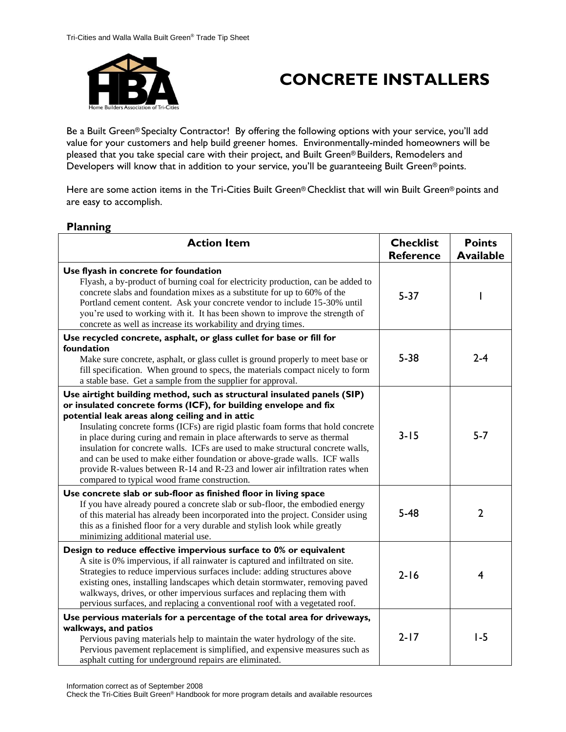

# **CONCRETE INSTALLERS**

Be a Built Green® Specialty Contractor! By offering the following options with your service, you'll add value for your customers and help build greener homes. Environmentally-minded homeowners will be pleased that you take special care with their project, and Built Green® Builders, Remodelers and Developers will know that in addition to your service, you'll be guaranteeing Built Green® points.

Here are some action items in the Tri-Cities Built Green® Checklist that will win Built Green® points and are easy to accomplish.

| <b>Action Item</b>                                                                                                                                                                                                                                                                                                                                                                                                                                                                                                                                                                                                                                              | <b>Checklist</b><br><b>Reference</b> | <b>Points</b><br><b>Available</b> |
|-----------------------------------------------------------------------------------------------------------------------------------------------------------------------------------------------------------------------------------------------------------------------------------------------------------------------------------------------------------------------------------------------------------------------------------------------------------------------------------------------------------------------------------------------------------------------------------------------------------------------------------------------------------------|--------------------------------------|-----------------------------------|
| Use flyash in concrete for foundation<br>Flyash, a by-product of burning coal for electricity production, can be added to<br>concrete slabs and foundation mixes as a substitute for up to 60% of the<br>Portland cement content. Ask your concrete vendor to include 15-30% until<br>you're used to working with it. It has been shown to improve the strength of<br>concrete as well as increase its workability and drying times.                                                                                                                                                                                                                            | $5 - 37$                             |                                   |
| Use recycled concrete, asphalt, or glass cullet for base or fill for<br>foundation<br>Make sure concrete, asphalt, or glass cullet is ground properly to meet base or<br>fill specification. When ground to specs, the materials compact nicely to form<br>a stable base. Get a sample from the supplier for approval.                                                                                                                                                                                                                                                                                                                                          | $5 - 38$                             | $2 - 4$                           |
| Use airtight building method, such as structural insulated panels (SIP)<br>or insulated concrete forms (ICF), for building envelope and fix<br>potential leak areas along ceiling and in attic<br>Insulating concrete forms (ICFs) are rigid plastic foam forms that hold concrete<br>in place during curing and remain in place afterwards to serve as thermal<br>insulation for concrete walls. ICFs are used to make structural concrete walls,<br>and can be used to make either foundation or above-grade walls. ICF walls<br>provide R-values between R-14 and R-23 and lower air infiltration rates when<br>compared to typical wood frame construction. | $3 - 15$                             | $5 - 7$                           |
| Use concrete slab or sub-floor as finished floor in living space<br>If you have already poured a concrete slab or sub-floor, the embodied energy<br>of this material has already been incorporated into the project. Consider using<br>this as a finished floor for a very durable and stylish look while greatly<br>minimizing additional material use.                                                                                                                                                                                                                                                                                                        | $5 - 48$                             | $\overline{2}$                    |
| Design to reduce effective impervious surface to 0% or equivalent<br>A site is 0% impervious, if all rainwater is captured and infiltrated on site.<br>Strategies to reduce impervious surfaces include: adding structures above<br>existing ones, installing landscapes which detain stormwater, removing paved<br>walkways, drives, or other impervious surfaces and replacing them with<br>pervious surfaces, and replacing a conventional roof with a vegetated roof.                                                                                                                                                                                       | $2 - 16$                             | 4                                 |
| Use pervious materials for a percentage of the total area for driveways,<br>walkways, and patios<br>Pervious paving materials help to maintain the water hydrology of the site.<br>Pervious pavement replacement is simplified, and expensive measures such as<br>asphalt cutting for underground repairs are eliminated.                                                                                                                                                                                                                                                                                                                                       | $2 - 17$                             | $1-5$                             |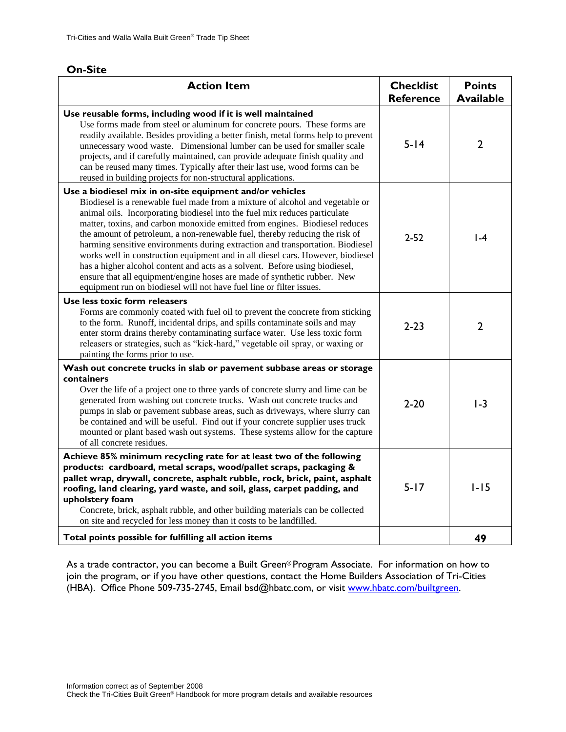| <b>Action Item</b>                                                                                                                                                                                                                                                                                                                                                                                                                                                                                                                                                                                                                                                                                                                                                                            | <b>Checklist</b><br><b>Reference</b> | <b>Points</b><br><b>Available</b> |
|-----------------------------------------------------------------------------------------------------------------------------------------------------------------------------------------------------------------------------------------------------------------------------------------------------------------------------------------------------------------------------------------------------------------------------------------------------------------------------------------------------------------------------------------------------------------------------------------------------------------------------------------------------------------------------------------------------------------------------------------------------------------------------------------------|--------------------------------------|-----------------------------------|
| Use reusable forms, including wood if it is well maintained<br>Use forms made from steel or aluminum for concrete pours. These forms are<br>readily available. Besides providing a better finish, metal forms help to prevent<br>unnecessary wood waste. Dimensional lumber can be used for smaller scale<br>projects, and if carefully maintained, can provide adequate finish quality and<br>can be reused many times. Typically after their last use, wood forms can be<br>reused in building projects for non-structural applications.                                                                                                                                                                                                                                                    | $5 - 14$                             | $\overline{2}$                    |
| Use a biodiesel mix in on-site equipment and/or vehicles<br>Biodiesel is a renewable fuel made from a mixture of alcohol and vegetable or<br>animal oils. Incorporating biodiesel into the fuel mix reduces particulate<br>matter, toxins, and carbon monoxide emitted from engines. Biodiesel reduces<br>the amount of petroleum, a non-renewable fuel, thereby reducing the risk of<br>harming sensitive environments during extraction and transportation. Biodiesel<br>works well in construction equipment and in all diesel cars. However, biodiesel<br>has a higher alcohol content and acts as a solvent. Before using biodiesel,<br>ensure that all equipment/engine hoses are made of synthetic rubber. New<br>equipment run on biodiesel will not have fuel line or filter issues. | $2 - 52$                             | $1-4$                             |
| Use less toxic form releasers<br>Forms are commonly coated with fuel oil to prevent the concrete from sticking<br>to the form. Runoff, incidental drips, and spills contaminate soils and may<br>enter storm drains thereby contaminating surface water. Use less toxic form<br>releasers or strategies, such as "kick-hard," vegetable oil spray, or waxing or<br>painting the forms prior to use.                                                                                                                                                                                                                                                                                                                                                                                           | $2 - 23$                             | $\overline{2}$                    |
| Wash out concrete trucks in slab or pavement subbase areas or storage<br>containers<br>Over the life of a project one to three yards of concrete slurry and lime can be<br>generated from washing out concrete trucks. Wash out concrete trucks and<br>pumps in slab or pavement subbase areas, such as driveways, where slurry can<br>be contained and will be useful. Find out if your concrete supplier uses truck<br>mounted or plant based wash out systems. These systems allow for the capture<br>of all concrete residues.                                                                                                                                                                                                                                                            | $2 - 20$                             | $1-3$                             |
| Achieve 85% minimum recycling rate for at least two of the following<br>products: cardboard, metal scraps, wood/pallet scraps, packaging &<br>pallet wrap, drywall, concrete, asphalt rubble, rock, brick, paint, asphalt<br>roofing, land clearing, yard waste, and soil, glass, carpet padding, and<br>upholstery foam<br>Concrete, brick, asphalt rubble, and other building materials can be collected<br>on site and recycled for less money than it costs to be landfilled.                                                                                                                                                                                                                                                                                                             | $5 - 17$                             | $1 - 15$                          |
| Total points possible for fulfilling all action items                                                                                                                                                                                                                                                                                                                                                                                                                                                                                                                                                                                                                                                                                                                                         |                                      | 49                                |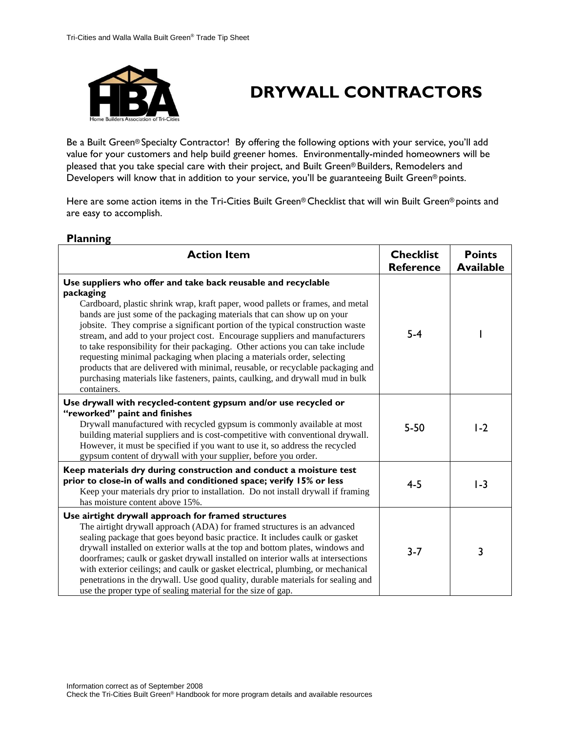

# **DRYWALL CONTRACTORS**

Be a Built Green® Specialty Contractor! By offering the following options with your service, you'll add value for your customers and help build greener homes. Environmentally-minded homeowners will be pleased that you take special care with their project, and Built Green® Builders, Remodelers and Developers will know that in addition to your service, you'll be guaranteeing Built Green® points.

Here are some action items in the Tri-Cities Built Green® Checklist that will win Built Green® points and are easy to accomplish.

| <b>Action Item</b>                                                                                                                                                                                                                                                                                                                                                                                                                                                                                                                                                                                                                                                                                                                                       | <b>Checklist</b><br><b>Reference</b> | <b>Points</b><br><b>Available</b> |
|----------------------------------------------------------------------------------------------------------------------------------------------------------------------------------------------------------------------------------------------------------------------------------------------------------------------------------------------------------------------------------------------------------------------------------------------------------------------------------------------------------------------------------------------------------------------------------------------------------------------------------------------------------------------------------------------------------------------------------------------------------|--------------------------------------|-----------------------------------|
| Use suppliers who offer and take back reusable and recyclable<br>packaging<br>Cardboard, plastic shrink wrap, kraft paper, wood pallets or frames, and metal<br>bands are just some of the packaging materials that can show up on your<br>jobsite. They comprise a significant portion of the typical construction waste<br>stream, and add to your project cost. Encourage suppliers and manufacturers<br>to take responsibility for their packaging. Other actions you can take include<br>requesting minimal packaging when placing a materials order, selecting<br>products that are delivered with minimal, reusable, or recyclable packaging and<br>purchasing materials like fasteners, paints, caulking, and drywall mud in bulk<br>containers. | $5-4$                                |                                   |
| Use drywall with recycled-content gypsum and/or use recycled or<br>"reworked" paint and finishes<br>Drywall manufactured with recycled gypsum is commonly available at most<br>building material suppliers and is cost-competitive with conventional drywall.<br>However, it must be specified if you want to use it, so address the recycled<br>gypsum content of drywall with your supplier, before you order.                                                                                                                                                                                                                                                                                                                                         | $5 - 50$                             | $1-2$                             |
| Keep materials dry during construction and conduct a moisture test<br>prior to close-in of walls and conditioned space; verify 15% or less<br>Keep your materials dry prior to installation. Do not install drywall if framing<br>has moisture content above 15%.                                                                                                                                                                                                                                                                                                                                                                                                                                                                                        | $4 - 5$                              | $1-3$                             |
| Use airtight drywall approach for framed structures<br>The airtight drywall approach (ADA) for framed structures is an advanced<br>sealing package that goes beyond basic practice. It includes caulk or gasket<br>drywall installed on exterior walls at the top and bottom plates, windows and<br>doorframes; caulk or gasket drywall installed on interior walls at intersections<br>with exterior ceilings; and caulk or gasket electrical, plumbing, or mechanical<br>penetrations in the drywall. Use good quality, durable materials for sealing and<br>use the proper type of sealing material for the size of gap.                                                                                                                              | $3 - 7$                              | 3                                 |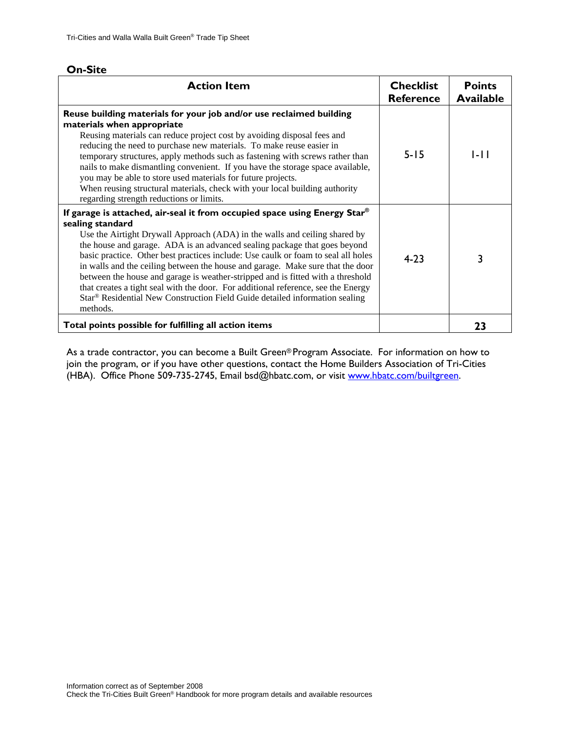| m<br>п<br>ווכ |  |
|---------------|--|
|---------------|--|

| <b>Action Item</b>                                                                                                                                                                                                                                                                                                                                                                                                                                                                                                                                                                                                                                                                                 | <b>Checklist</b><br><b>Reference</b> | <b>Points</b><br><b>Available</b> |
|----------------------------------------------------------------------------------------------------------------------------------------------------------------------------------------------------------------------------------------------------------------------------------------------------------------------------------------------------------------------------------------------------------------------------------------------------------------------------------------------------------------------------------------------------------------------------------------------------------------------------------------------------------------------------------------------------|--------------------------------------|-----------------------------------|
| Reuse building materials for your job and/or use reclaimed building<br>materials when appropriate<br>Reusing materials can reduce project cost by avoiding disposal fees and<br>reducing the need to purchase new materials. To make reuse easier in<br>temporary structures, apply methods such as fastening with screws rather than<br>nails to make dismantling convenient. If you have the storage space available,<br>you may be able to store used materials for future projects.<br>When reusing structural materials, check with your local building authority<br>regarding strength reductions or limits.                                                                                 | $5 - 15$                             | 1-LI                              |
| If garage is attached, air-seal it from occupied space using Energy Star®<br>sealing standard<br>Use the Airtight Drywall Approach (ADA) in the walls and ceiling shared by<br>the house and garage. ADA is an advanced sealing package that goes beyond<br>basic practice. Other best practices include: Use caulk or foam to seal all holes<br>in walls and the ceiling between the house and garage. Make sure that the door<br>between the house and garage is weather-stripped and is fitted with a threshold<br>that creates a tight seal with the door. For additional reference, see the Energy<br>Star® Residential New Construction Field Guide detailed information sealing<br>methods. | $4 - 23$                             | 3                                 |
| Total points possible for fulfilling all action items                                                                                                                                                                                                                                                                                                                                                                                                                                                                                                                                                                                                                                              |                                      | 23                                |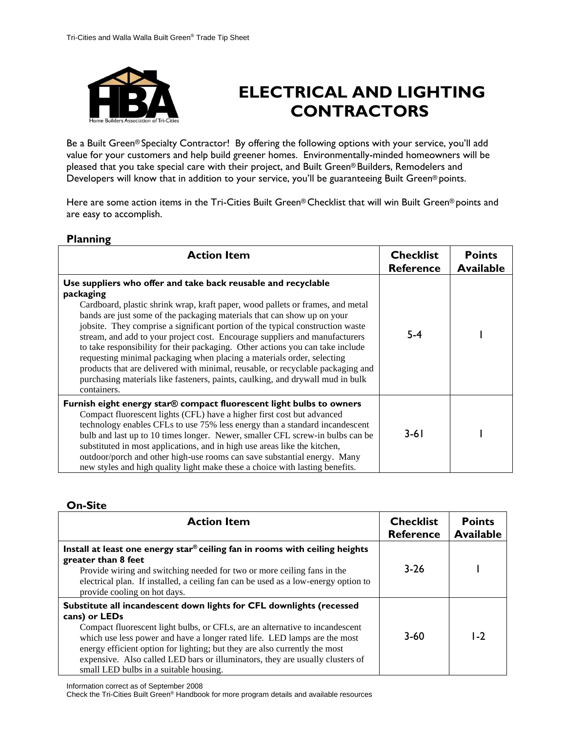

# **ELECTRICAL AND LIGHTING CONTRACTORS**

Be a Built Green® Specialty Contractor! By offering the following options with your service, you'll add value for your customers and help build greener homes. Environmentally-minded homeowners will be pleased that you take special care with their project, and Built Green® Builders, Remodelers and Developers will know that in addition to your service, you'll be guaranteeing Built Green® points.

Here are some action items in the Tri-Cities Built Green® Checklist that will win Built Green® points and are easy to accomplish.

### **Planning**

| -<br><b>Action Item</b>                                                                                                                                                                                                                                                                                                                                                                                                                                                                                                                                                                                                                                                                                                                                  | <b>Checklist</b><br><b>Reference</b> | <b>Points</b><br><b>Available</b> |
|----------------------------------------------------------------------------------------------------------------------------------------------------------------------------------------------------------------------------------------------------------------------------------------------------------------------------------------------------------------------------------------------------------------------------------------------------------------------------------------------------------------------------------------------------------------------------------------------------------------------------------------------------------------------------------------------------------------------------------------------------------|--------------------------------------|-----------------------------------|
| Use suppliers who offer and take back reusable and recyclable<br>packaging<br>Cardboard, plastic shrink wrap, kraft paper, wood pallets or frames, and metal<br>bands are just some of the packaging materials that can show up on your<br>jobsite. They comprise a significant portion of the typical construction waste<br>stream, and add to your project cost. Encourage suppliers and manufacturers<br>to take responsibility for their packaging. Other actions you can take include<br>requesting minimal packaging when placing a materials order, selecting<br>products that are delivered with minimal, reusable, or recyclable packaging and<br>purchasing materials like fasteners, paints, caulking, and drywall mud in bulk<br>containers. | 5-4                                  |                                   |
| Furnish eight energy star® compact fluorescent light bulbs to owners<br>Compact fluorescent lights (CFL) have a higher first cost but advanced<br>technology enables CFLs to use 75% less energy than a standard incandescent<br>bulb and last up to 10 times longer. Newer, smaller CFL screw-in bulbs can be<br>substituted in most applications, and in high use areas like the kitchen,<br>outdoor/porch and other high-use rooms can save substantial energy. Many<br>new styles and high quality light make these a choice with lasting benefits.                                                                                                                                                                                                  | $3 - 61$                             |                                   |

### **On-Site**

| <b>Action Item</b>                                                                                                                                                                                                                                                                                                                                                                                                                                          | <b>Checklist</b><br><b>Reference</b> | <b>Points</b><br><b>Available</b> |
|-------------------------------------------------------------------------------------------------------------------------------------------------------------------------------------------------------------------------------------------------------------------------------------------------------------------------------------------------------------------------------------------------------------------------------------------------------------|--------------------------------------|-----------------------------------|
| Install at least one energy star® ceiling fan in rooms with ceiling heights<br>greater than 8 feet<br>Provide wiring and switching needed for two or more ceiling fans in the<br>electrical plan. If installed, a ceiling fan can be used as a low-energy option to<br>provide cooling on hot days.                                                                                                                                                         | $3 - 26$                             |                                   |
| Substitute all incandescent down lights for CFL downlights (recessed<br>cans) or LEDs<br>Compact fluorescent light bulbs, or CFLs, are an alternative to incandescent<br>which use less power and have a longer rated life. LED lamps are the most<br>energy efficient option for lighting; but they are also currently the most<br>expensive. Also called LED bars or illuminators, they are usually clusters of<br>small LED bulbs in a suitable housing. | $3 - 60$                             | $1-2$                             |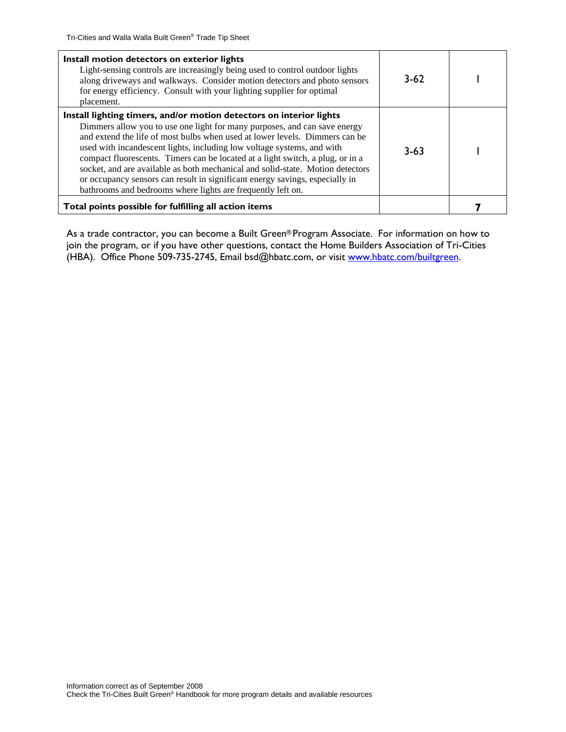| Install motion detectors on exterior lights<br>Light-sensing controls are increasingly being used to control outdoor lights<br>along driveways and walkways. Consider motion detectors and photo sensors<br>for energy efficiency. Consult with your lighting supplier for optimal<br>placement.                                                                                                                                                                                                                                                                                                                             | $3-62$   |  |
|------------------------------------------------------------------------------------------------------------------------------------------------------------------------------------------------------------------------------------------------------------------------------------------------------------------------------------------------------------------------------------------------------------------------------------------------------------------------------------------------------------------------------------------------------------------------------------------------------------------------------|----------|--|
| Install lighting timers, and/or motion detectors on interior lights<br>Dimmers allow you to use one light for many purposes, and can save energy<br>and extend the life of most bulbs when used at lower levels. Dimmers can be<br>used with incandescent lights, including low voltage systems, and with<br>compact fluorescents. Timers can be located at a light switch, a plug, or in a<br>socket, and are available as both mechanical and solid-state. Motion detectors<br>or occupancy sensors can result in significant energy savings, especially in<br>bathrooms and bedrooms where lights are frequently left on. | $3 - 63$ |  |
| Total points possible for fulfilling all action items                                                                                                                                                                                                                                                                                                                                                                                                                                                                                                                                                                        |          |  |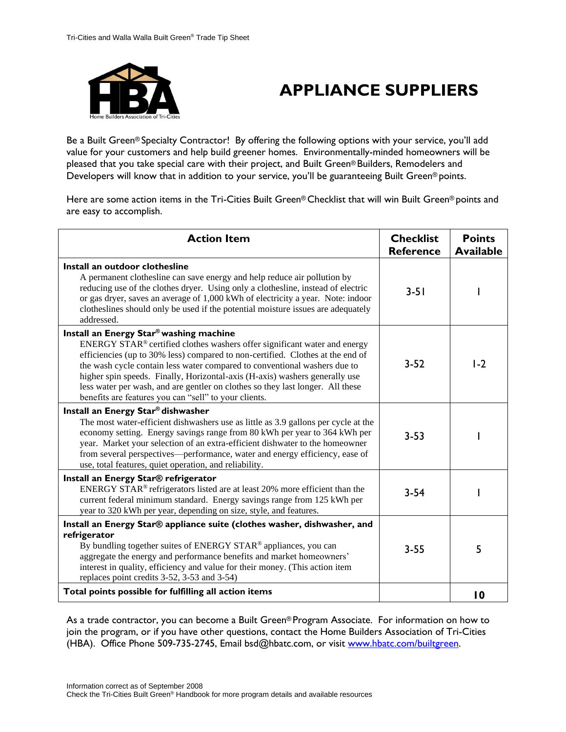

# **APPLIANCE SUPPLIERS**

Be a Built Green® Specialty Contractor! By offering the following options with your service, you'll add value for your customers and help build greener homes. Environmentally-minded homeowners will be pleased that you take special care with their project, and Built Green® Builders, Remodelers and Developers will know that in addition to your service, you'll be guaranteeing Built Green® points.

Here are some action items in the Tri-Cities Built Green® Checklist that will win Built Green® points and are easy to accomplish.

| <b>Action Item</b>                                                                                                                                                                                                                                                                                                                                                                                                                                                                                            | <b>Checklist</b><br><b>Reference</b> | <b>Points</b><br><b>Available</b> |
|---------------------------------------------------------------------------------------------------------------------------------------------------------------------------------------------------------------------------------------------------------------------------------------------------------------------------------------------------------------------------------------------------------------------------------------------------------------------------------------------------------------|--------------------------------------|-----------------------------------|
| Install an outdoor clothesline<br>A permanent clothesline can save energy and help reduce air pollution by<br>reducing use of the clothes dryer. Using only a clothesline, instead of electric<br>or gas dryer, saves an average of 1,000 kWh of electricity a year. Note: indoor<br>clotheslines should only be used if the potential moisture issues are adequately<br>addressed.                                                                                                                           | $3 - 51$                             |                                   |
| Install an Energy Star® washing machine<br>ENERGY STAR® certified clothes washers offer significant water and energy<br>efficiencies (up to 30% less) compared to non-certified. Clothes at the end of<br>the wash cycle contain less water compared to conventional washers due to<br>higher spin speeds. Finally, Horizontal-axis (H-axis) washers generally use<br>less water per wash, and are gentler on clothes so they last longer. All these<br>benefits are features you can "sell" to your clients. | $3 - 52$                             | $1-2$                             |
| Install an Energy Star® dishwasher<br>The most water-efficient dishwashers use as little as 3.9 gallons per cycle at the<br>economy setting. Energy savings range from 80 kWh per year to 364 kWh per<br>year. Market your selection of an extra-efficient dishwater to the homeowner<br>from several perspectives—performance, water and energy efficiency, ease of<br>use, total features, quiet operation, and reliability.                                                                                | $3 - 53$                             |                                   |
| Install an Energy Star® refrigerator<br>ENERGY STAR <sup>®</sup> refrigerators listed are at least 20% more efficient than the<br>current federal minimum standard. Energy savings range from 125 kWh per<br>year to 320 kWh per year, depending on size, style, and features.                                                                                                                                                                                                                                | $3 - 54$                             |                                   |
| Install an Energy Star® appliance suite (clothes washer, dishwasher, and<br>refrigerator<br>By bundling together suites of ENERGY STAR® appliances, you can<br>aggregate the energy and performance benefits and market homeowners'<br>interest in quality, efficiency and value for their money. (This action item<br>replaces point credits 3-52, 3-53 and 3-54)                                                                                                                                            | $3 - 55$                             | 5                                 |
| Total points possible for fulfilling all action items                                                                                                                                                                                                                                                                                                                                                                                                                                                         |                                      | $\overline{10}$                   |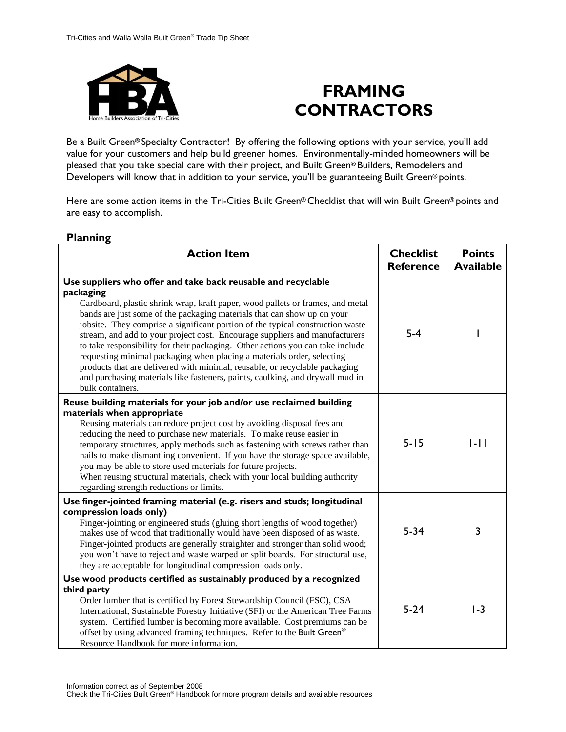

## **FRAMING CONTRACTORS**

Be a Built Green® Specialty Contractor! By offering the following options with your service, you'll add value for your customers and help build greener homes. Environmentally-minded homeowners will be pleased that you take special care with their project, and Built Green® Builders, Remodelers and Developers will know that in addition to your service, you'll be guaranteeing Built Green® points.

Here are some action items in the Tri-Cities Built Green® Checklist that will win Built Green® points and are easy to accomplish.

| <b>Action Item</b>                                                                                                                                                                                                                                                                                                                                                                                                                                                                                                                                                                                                                                                                                                                                       | <b>Checklist</b><br><b>Reference</b> | <b>Points</b><br><b>Available</b> |
|----------------------------------------------------------------------------------------------------------------------------------------------------------------------------------------------------------------------------------------------------------------------------------------------------------------------------------------------------------------------------------------------------------------------------------------------------------------------------------------------------------------------------------------------------------------------------------------------------------------------------------------------------------------------------------------------------------------------------------------------------------|--------------------------------------|-----------------------------------|
| Use suppliers who offer and take back reusable and recyclable<br>packaging<br>Cardboard, plastic shrink wrap, kraft paper, wood pallets or frames, and metal<br>bands are just some of the packaging materials that can show up on your<br>jobsite. They comprise a significant portion of the typical construction waste<br>stream, and add to your project cost. Encourage suppliers and manufacturers<br>to take responsibility for their packaging. Other actions you can take include<br>requesting minimal packaging when placing a materials order, selecting<br>products that are delivered with minimal, reusable, or recyclable packaging<br>and purchasing materials like fasteners, paints, caulking, and drywall mud in<br>bulk containers. | $5-4$                                |                                   |
| Reuse building materials for your job and/or use reclaimed building<br>materials when appropriate<br>Reusing materials can reduce project cost by avoiding disposal fees and<br>reducing the need to purchase new materials. To make reuse easier in<br>temporary structures, apply methods such as fastening with screws rather than<br>nails to make dismantling convenient. If you have the storage space available,<br>you may be able to store used materials for future projects.<br>When reusing structural materials, check with your local building authority<br>regarding strength reductions or limits.                                                                                                                                       | $5 - 15$                             | $  -  $                           |
| Use finger-jointed framing material (e.g. risers and studs; longitudinal<br>compression loads only)<br>Finger-jointing or engineered studs (gluing short lengths of wood together)<br>makes use of wood that traditionally would have been disposed of as waste.<br>Finger-jointed products are generally straighter and stronger than solid wood;<br>you won't have to reject and waste warped or split boards. For structural use,<br>they are acceptable for longitudinal compression loads only.                                                                                                                                                                                                                                                     | $5 - 34$                             | 3                                 |
| Use wood products certified as sustainably produced by a recognized<br>third party<br>Order lumber that is certified by Forest Stewardship Council (FSC), CSA<br>International, Sustainable Forestry Initiative (SFI) or the American Tree Farms<br>system. Certified lumber is becoming more available. Cost premiums can be<br>offset by using advanced framing techniques. Refer to the Built Green®<br>Resource Handbook for more information.                                                                                                                                                                                                                                                                                                       | $5 - 24$                             | $1-3$                             |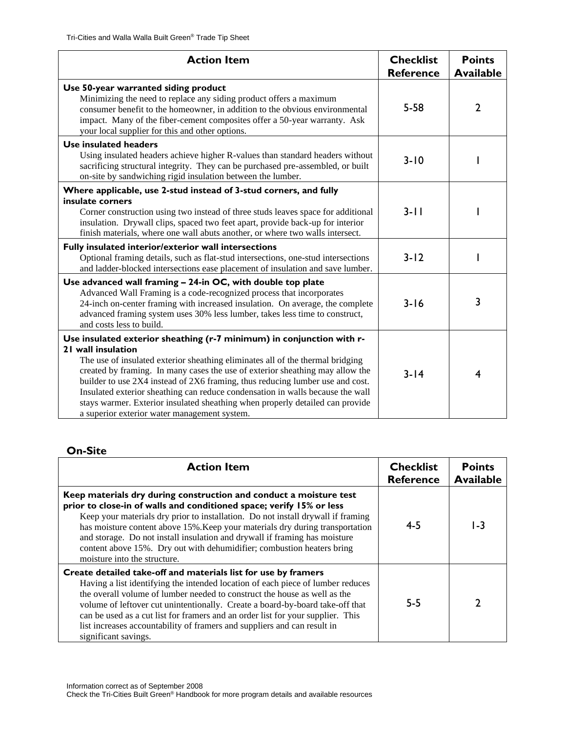| <b>Action Item</b>                                                                                                                                                                                                                                                                                                                                                                                                                                                                                                                                                 | <b>Checklist</b><br><b>Reference</b> | <b>Points</b><br><b>Available</b> |
|--------------------------------------------------------------------------------------------------------------------------------------------------------------------------------------------------------------------------------------------------------------------------------------------------------------------------------------------------------------------------------------------------------------------------------------------------------------------------------------------------------------------------------------------------------------------|--------------------------------------|-----------------------------------|
| Use 50-year warranted siding product<br>Minimizing the need to replace any siding product offers a maximum<br>consumer benefit to the homeowner, in addition to the obvious environmental<br>impact. Many of the fiber-cement composites offer a 50-year warranty. Ask<br>your local supplier for this and other options.                                                                                                                                                                                                                                          | $5 - 58$                             | 2                                 |
| Use insulated headers<br>Using insulated headers achieve higher R-values than standard headers without<br>sacrificing structural integrity. They can be purchased pre-assembled, or built<br>on-site by sandwiching rigid insulation between the lumber.                                                                                                                                                                                                                                                                                                           | $3 - 10$                             |                                   |
| Where applicable, use 2-stud instead of 3-stud corners, and fully<br>insulate corners<br>Corner construction using two instead of three studs leaves space for additional<br>insulation. Drywall clips, spaced two feet apart, provide back-up for interior<br>finish materials, where one wall abuts another, or where two walls intersect.                                                                                                                                                                                                                       | $3 - 11$                             |                                   |
| Fully insulated interior/exterior wall intersections<br>Optional framing details, such as flat-stud intersections, one-stud intersections<br>and ladder-blocked intersections ease placement of insulation and save lumber.                                                                                                                                                                                                                                                                                                                                        | $3 - 12$                             |                                   |
| Use advanced wall framing - 24-in OC, with double top plate<br>Advanced Wall Framing is a code-recognized process that incorporates<br>24-inch on-center framing with increased insulation. On average, the complete<br>advanced framing system uses 30% less lumber, takes less time to construct,<br>and costs less to build.                                                                                                                                                                                                                                    | $3 - 16$                             | 3                                 |
| Use insulated exterior sheathing (r-7 minimum) in conjunction with r-<br>21 wall insulation<br>The use of insulated exterior sheathing eliminates all of the thermal bridging<br>created by framing. In many cases the use of exterior sheathing may allow the<br>builder to use 2X4 instead of 2X6 framing, thus reducing lumber use and cost.<br>Insulated exterior sheathing can reduce condensation in walls because the wall<br>stays warmer. Exterior insulated sheathing when properly detailed can provide<br>a superior exterior water management system. | $3 - 14$                             | 4                                 |

| <b>Action Item</b>                                                                                                                                                                                                                                                                                                                                                                                                                                                                                      | <b>Checklist</b><br><b>Reference</b> | <b>Points</b><br><b>Available</b> |
|---------------------------------------------------------------------------------------------------------------------------------------------------------------------------------------------------------------------------------------------------------------------------------------------------------------------------------------------------------------------------------------------------------------------------------------------------------------------------------------------------------|--------------------------------------|-----------------------------------|
| Keep materials dry during construction and conduct a moisture test<br>prior to close-in of walls and conditioned space; verify 15% or less<br>Keep your materials dry prior to installation. Do not install drywall if framing<br>has moisture content above 15%. Keep your materials dry during transportation<br>and storage. Do not install insulation and drywall if framing has moisture<br>content above 15%. Dry out with dehumidifier; combustion heaters bring<br>moisture into the structure. | $4 - 5$                              | 1-3                               |
| Create detailed take-off and materials list for use by framers<br>Having a list identifying the intended location of each piece of lumber reduces<br>the overall volume of lumber needed to construct the house as well as the<br>volume of leftover cut unintentionally. Create a board-by-board take-off that<br>can be used as a cut list for framers and an order list for your supplier. This<br>list increases accountability of framers and suppliers and can result in<br>significant savings.  | $5 - 5$                              |                                   |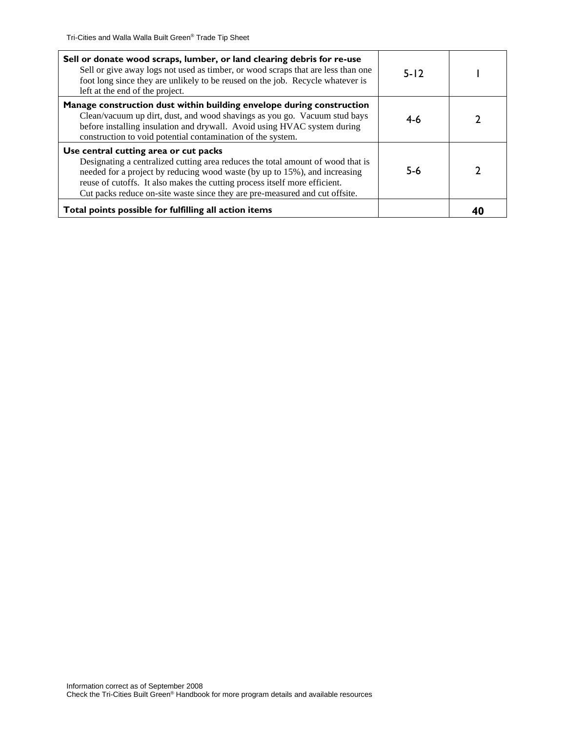| Sell or donate wood scraps, lumber, or land clearing debris for re-use<br>Sell or give away logs not used as timber, or wood scraps that are less than one<br>foot long since they are unlikely to be reused on the job. Recycle whatever is<br>left at the end of the project.                                                                                     | $5 - 12$ |  |
|---------------------------------------------------------------------------------------------------------------------------------------------------------------------------------------------------------------------------------------------------------------------------------------------------------------------------------------------------------------------|----------|--|
| Manage construction dust within building envelope during construction<br>Clean/vacuum up dirt, dust, and wood shavings as you go. Vacuum stud bays<br>before installing insulation and drywall. Avoid using HVAC system during<br>construction to void potential contamination of the system.                                                                       | 4-6      |  |
| Use central cutting area or cut packs<br>Designating a centralized cutting area reduces the total amount of wood that is<br>needed for a project by reducing wood waste (by up to 15%), and increasing<br>reuse of cutoffs. It also makes the cutting process itself more efficient.<br>Cut packs reduce on-site waste since they are pre-measured and cut offsite. | $5-6$    |  |
| Total points possible for fulfilling all action items                                                                                                                                                                                                                                                                                                               |          |  |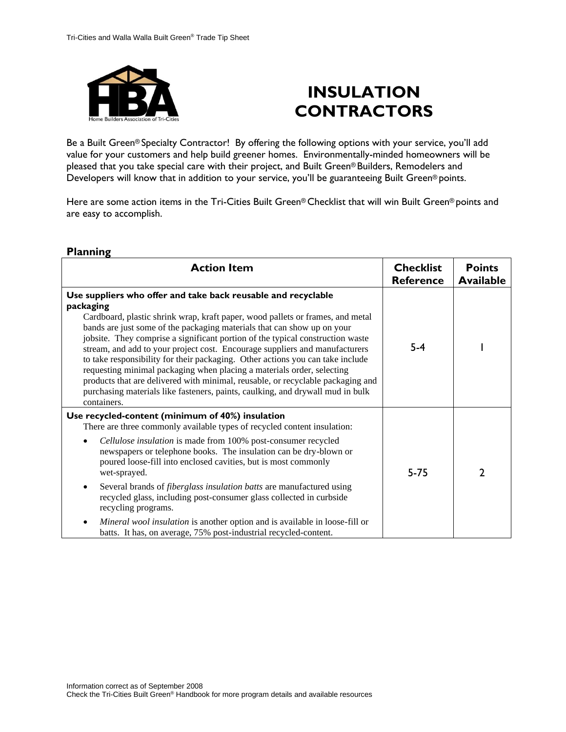

# **INSULATION CONTRACTORS**

Be a Built Green® Specialty Contractor! By offering the following options with your service, you'll add value for your customers and help build greener homes. Environmentally-minded homeowners will be pleased that you take special care with their project, and Built Green® Builders, Remodelers and Developers will know that in addition to your service, you'll be guaranteeing Built Green® points.

Here are some action items in the Tri-Cities Built Green® Checklist that will win Built Green® points and are easy to accomplish.

| <b>Action Item</b>                                                                                                                                                                                                                                                                                                                                                                                                                                                                                                                                                                                                                                                                                                                                       | <b>Checklist</b><br><b>Reference</b> | <b>Points</b><br><b>Available</b> |
|----------------------------------------------------------------------------------------------------------------------------------------------------------------------------------------------------------------------------------------------------------------------------------------------------------------------------------------------------------------------------------------------------------------------------------------------------------------------------------------------------------------------------------------------------------------------------------------------------------------------------------------------------------------------------------------------------------------------------------------------------------|--------------------------------------|-----------------------------------|
| Use suppliers who offer and take back reusable and recyclable<br>packaging<br>Cardboard, plastic shrink wrap, kraft paper, wood pallets or frames, and metal<br>bands are just some of the packaging materials that can show up on your<br>jobsite. They comprise a significant portion of the typical construction waste<br>stream, and add to your project cost. Encourage suppliers and manufacturers<br>to take responsibility for their packaging. Other actions you can take include<br>requesting minimal packaging when placing a materials order, selecting<br>products that are delivered with minimal, reusable, or recyclable packaging and<br>purchasing materials like fasteners, paints, caulking, and drywall mud in bulk<br>containers. | $5 - 4$                              |                                   |
| Use recycled-content (minimum of 40%) insulation<br>There are three commonly available types of recycled content insulation:<br>Cellulose insulation is made from 100% post-consumer recycled<br>newspapers or telephone books. The insulation can be dry-blown or<br>poured loose-fill into enclosed cavities, but is most commonly<br>wet-sprayed.<br>Several brands of <i>fiberglass insulation batts</i> are manufactured using<br>٠<br>recycled glass, including post-consumer glass collected in curbside<br>recycling programs.<br>Mineral wool insulation is another option and is available in loose-fill or<br>batts. It has, on average, 75% post-industrial recycled-content.                                                                | $5 - 75$                             | 2                                 |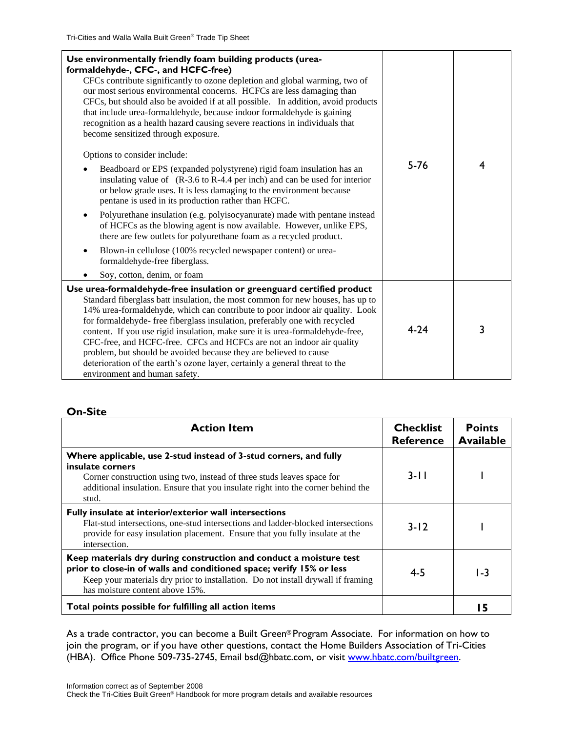| Use environmentally friendly foam building products (urea-<br>formaldehyde-, CFC-, and HCFC-free)<br>CFCs contribute significantly to ozone depletion and global warming, two of<br>our most serious environmental concerns. HCFCs are less damaging than<br>CFCs, but should also be avoided if at all possible. In addition, avoid products<br>that include urea-formaldehyde, because indoor formaldehyde is gaining<br>recognition as a health hazard causing severe reactions in individuals that<br>become sensitized through exposure.<br>Options to consider include:<br>Beadboard or EPS (expanded polystyrene) rigid foam insulation has an<br>$\bullet$<br>insulating value of $(R-3.6 \text{ to } R-4.4 \text{ per inch})$ and can be used for interior<br>or below grade uses. It is less damaging to the environment because<br>pentane is used in its production rather than HCFC.<br>Polyurethane insulation (e.g. polyisocyanurate) made with pentane instead<br>of HCFCs as the blowing agent is now available. However, unlike EPS,<br>there are few outlets for polyurethane foam as a recycled product.<br>Blown-in cellulose (100% recycled newspaper content) or urea-<br>formaldehyde-free fiberglass.<br>Soy, cotton, denim, or foam | $5 - 76$ | 4 |
|---------------------------------------------------------------------------------------------------------------------------------------------------------------------------------------------------------------------------------------------------------------------------------------------------------------------------------------------------------------------------------------------------------------------------------------------------------------------------------------------------------------------------------------------------------------------------------------------------------------------------------------------------------------------------------------------------------------------------------------------------------------------------------------------------------------------------------------------------------------------------------------------------------------------------------------------------------------------------------------------------------------------------------------------------------------------------------------------------------------------------------------------------------------------------------------------------------------------------------------------------------------|----------|---|
| Use urea-formaldehyde-free insulation or greenguard certified product<br>Standard fiberglass batt insulation, the most common for new houses, has up to<br>14% urea-formaldehyde, which can contribute to poor indoor air quality. Look<br>for formaldehyde- free fiberglass insulation, preferably one with recycled<br>content. If you use rigid insulation, make sure it is urea-formaldehyde-free,<br>CFC-free, and HCFC-free. CFCs and HCFCs are not an indoor air quality<br>problem, but should be avoided because they are believed to cause<br>deterioration of the earth's ozone layer, certainly a general threat to the<br>environment and human safety.                                                                                                                                                                                                                                                                                                                                                                                                                                                                                                                                                                                          | $4 - 24$ | 3 |

| <b>Action Item</b>                                                                                                                                                                                                                                                | <b>Checklist</b><br><b>Reference</b> | <b>Points</b><br><b>Available</b> |
|-------------------------------------------------------------------------------------------------------------------------------------------------------------------------------------------------------------------------------------------------------------------|--------------------------------------|-----------------------------------|
| Where applicable, use 2-stud instead of 3-stud corners, and fully<br>insulate corners<br>Corner construction using two, instead of three studs leaves space for<br>additional insulation. Ensure that you insulate right into the corner behind the<br>stud.      | $3 - 11$                             |                                   |
| Fully insulate at interior/exterior wall intersections<br>Flat-stud intersections, one-stud intersections and ladder-blocked intersections<br>provide for easy insulation placement. Ensure that you fully insulate at the<br>intersection.                       | $3 - 12$                             |                                   |
| Keep materials dry during construction and conduct a moisture test<br>prior to close-in of walls and conditioned space; verify 15% or less<br>Keep your materials dry prior to installation. Do not install drywall if framing<br>has moisture content above 15%. | $4 - 5$                              | I - 3                             |
| Total points possible for fulfilling all action items                                                                                                                                                                                                             |                                      |                                   |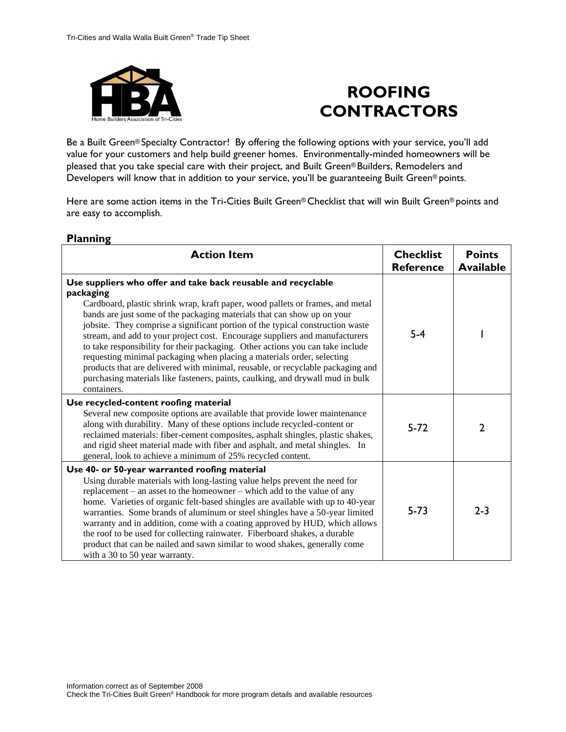

# **ROOFING CONTRACTORS**

Be a Built Green® Specialty Contractor! By offering the following options with your service, you'll add value for your customers and help build greener homes. Environmentally-minded homeowners will be pleased that you take special care with their project, and Built Green® Builders, Remodelers and Developers will know that in addition to your service, you'll be guaranteeing Built Green® points.

Here are some action items in the Tri-Cities Built Green® Checklist that will win Built Green® points and are easy to accomplish.

| <b>Action Item</b>                                                                                                                                                                                                                                                                                                                                                                                                                                                                                                                                                                                                                                                                                                                                       | <b>Checklist</b><br><b>Reference</b> | <b>Points</b><br><b>Available</b> |
|----------------------------------------------------------------------------------------------------------------------------------------------------------------------------------------------------------------------------------------------------------------------------------------------------------------------------------------------------------------------------------------------------------------------------------------------------------------------------------------------------------------------------------------------------------------------------------------------------------------------------------------------------------------------------------------------------------------------------------------------------------|--------------------------------------|-----------------------------------|
| Use suppliers who offer and take back reusable and recyclable<br>packaging<br>Cardboard, plastic shrink wrap, kraft paper, wood pallets or frames, and metal<br>bands are just some of the packaging materials that can show up on your<br>jobsite. They comprise a significant portion of the typical construction waste<br>stream, and add to your project cost. Encourage suppliers and manufacturers<br>to take responsibility for their packaging. Other actions you can take include<br>requesting minimal packaging when placing a materials order, selecting<br>products that are delivered with minimal, reusable, or recyclable packaging and<br>purchasing materials like fasteners, paints, caulking, and drywall mud in bulk<br>containers. | $5-4$                                |                                   |
| Use recycled-content roofing material<br>Several new composite options are available that provide lower maintenance<br>along with durability. Many of these options include recycled-content or<br>reclaimed materials: fiber-cement composites, asphalt shingles, plastic shakes,<br>and rigid sheet material made with fiber and asphalt, and metal shingles. In<br>general, look to achieve a minimum of 25% recycled content.                                                                                                                                                                                                                                                                                                                        | $5 - 72$                             | 2                                 |
| Use 40- or 50-year warranted roofing material<br>Using durable materials with long-lasting value helps prevent the need for<br>replacement – an asset to the homeowner – which add to the value of any<br>home. Varieties of organic felt-based shingles are available with up to 40-year<br>warranties. Some brands of aluminum or steel shingles have a 50-year limited<br>warranty and in addition, come with a coating approved by HUD, which allows<br>the roof to be used for collecting rainwater. Fiberboard shakes, a durable<br>product that can be nailed and sawn similar to wood shakes, generally come<br>with a 30 to 50 year warranty.                                                                                                   | $5 - 73$                             | $2 - 3$                           |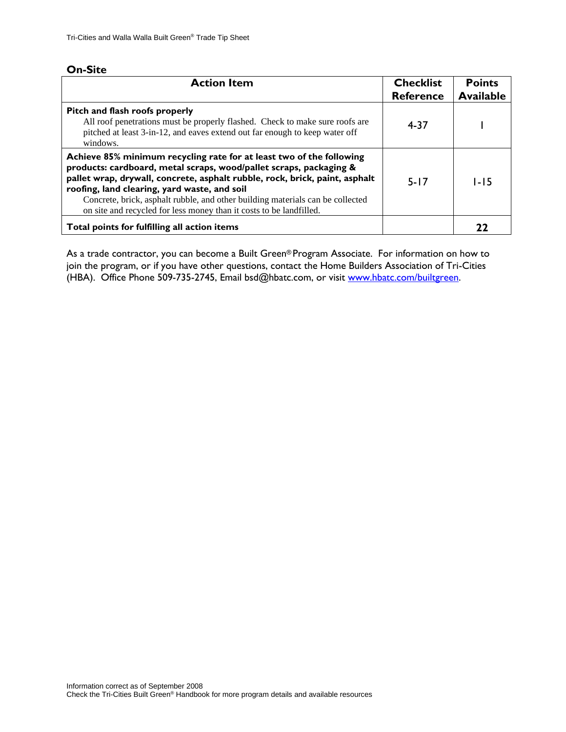| <b>Action Item</b>                                                                                                                                                                                                                                                                                                                                                                                                                 | <b>Checklist</b><br><b>Reference</b> | <b>Points</b><br><b>Available</b> |
|------------------------------------------------------------------------------------------------------------------------------------------------------------------------------------------------------------------------------------------------------------------------------------------------------------------------------------------------------------------------------------------------------------------------------------|--------------------------------------|-----------------------------------|
| Pitch and flash roofs properly<br>All roof penetrations must be properly flashed. Check to make sure roofs are<br>pitched at least 3-in-12, and eaves extend out far enough to keep water off<br>windows.                                                                                                                                                                                                                          | 4-37                                 |                                   |
| Achieve 85% minimum recycling rate for at least two of the following<br>products: cardboard, metal scraps, wood/pallet scraps, packaging &<br>pallet wrap, drywall, concrete, asphalt rubble, rock, brick, paint, asphalt<br>roofing, land clearing, yard waste, and soil<br>Concrete, brick, asphalt rubble, and other building materials can be collected<br>on site and recycled for less money than it costs to be landfilled. | $5 - 17$                             | $1 - 15$                          |
| Total points for fulfilling all action items                                                                                                                                                                                                                                                                                                                                                                                       |                                      |                                   |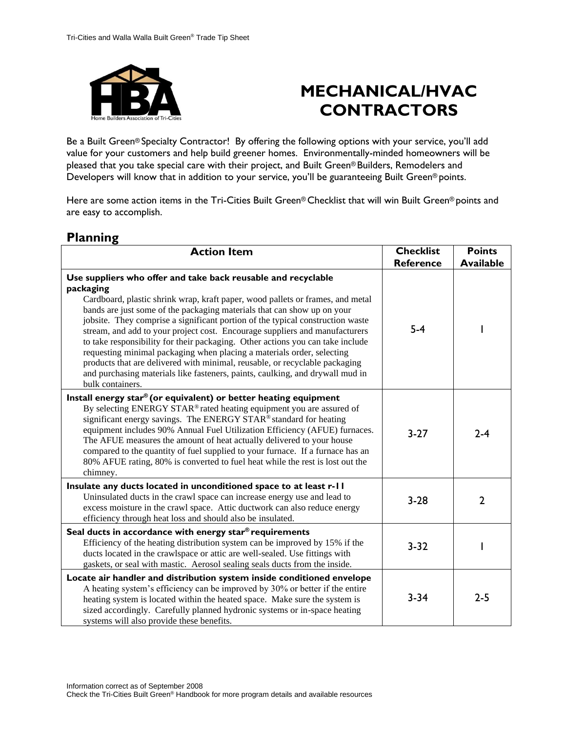

# **MECHANICAL/HVAC CONTRACTORS**

Be a Built Green® Specialty Contractor! By offering the following options with your service, you'll add value for your customers and help build greener homes. Environmentally-minded homeowners will be pleased that you take special care with their project, and Built Green® Builders, Remodelers and Developers will know that in addition to your service, you'll be guaranteeing Built Green® points.

Here are some action items in the Tri-Cities Built Green® Checklist that will win Built Green® points and are easy to accomplish.

| <b>Action Item</b>                                                                                                                                                                                                                                                                                                                                                                                                                                                                                                                                                                                                                                                                                                                                       | <b>Checklist</b><br><b>Reference</b> | <b>Points</b><br><b>Available</b> |
|----------------------------------------------------------------------------------------------------------------------------------------------------------------------------------------------------------------------------------------------------------------------------------------------------------------------------------------------------------------------------------------------------------------------------------------------------------------------------------------------------------------------------------------------------------------------------------------------------------------------------------------------------------------------------------------------------------------------------------------------------------|--------------------------------------|-----------------------------------|
| Use suppliers who offer and take back reusable and recyclable<br>packaging<br>Cardboard, plastic shrink wrap, kraft paper, wood pallets or frames, and metal<br>bands are just some of the packaging materials that can show up on your<br>jobsite. They comprise a significant portion of the typical construction waste<br>stream, and add to your project cost. Encourage suppliers and manufacturers<br>to take responsibility for their packaging. Other actions you can take include<br>requesting minimal packaging when placing a materials order, selecting<br>products that are delivered with minimal, reusable, or recyclable packaging<br>and purchasing materials like fasteners, paints, caulking, and drywall mud in<br>bulk containers. | $5-4$                                |                                   |
| Install energy star® (or equivalent) or better heating equipment<br>By selecting ENERGY STAR® rated heating equipment you are assured of<br>significant energy savings. The ENERGY STAR® standard for heating<br>equipment includes 90% Annual Fuel Utilization Efficiency (AFUE) furnaces.<br>The AFUE measures the amount of heat actually delivered to your house<br>compared to the quantity of fuel supplied to your furnace. If a furnace has an<br>80% AFUE rating, 80% is converted to fuel heat while the rest is lost out the<br>chimney.                                                                                                                                                                                                      | $3-27$                               | $2 - 4$                           |
| Insulate any ducts located in unconditioned space to at least r-11<br>Uninsulated ducts in the crawl space can increase energy use and lead to<br>excess moisture in the crawl space. Attic ductwork can also reduce energy<br>efficiency through heat loss and should also be insulated.                                                                                                                                                                                                                                                                                                                                                                                                                                                                | $3 - 28$                             | $\mathbf{2}$                      |
| Seal ducts in accordance with energy star® requirements<br>Efficiency of the heating distribution system can be improved by 15% if the<br>ducts located in the crawlspace or attic are well-sealed. Use fittings with<br>gaskets, or seal with mastic. Aerosol sealing seals ducts from the inside.                                                                                                                                                                                                                                                                                                                                                                                                                                                      | $3 - 32$                             |                                   |
| Locate air handler and distribution system inside conditioned envelope<br>A heating system's efficiency can be improved by 30% or better if the entire<br>heating system is located within the heated space. Make sure the system is<br>sized accordingly. Carefully planned hydronic systems or in-space heating<br>systems will also provide these benefits.                                                                                                                                                                                                                                                                                                                                                                                           | $3 - 34$                             | $2 - 5$                           |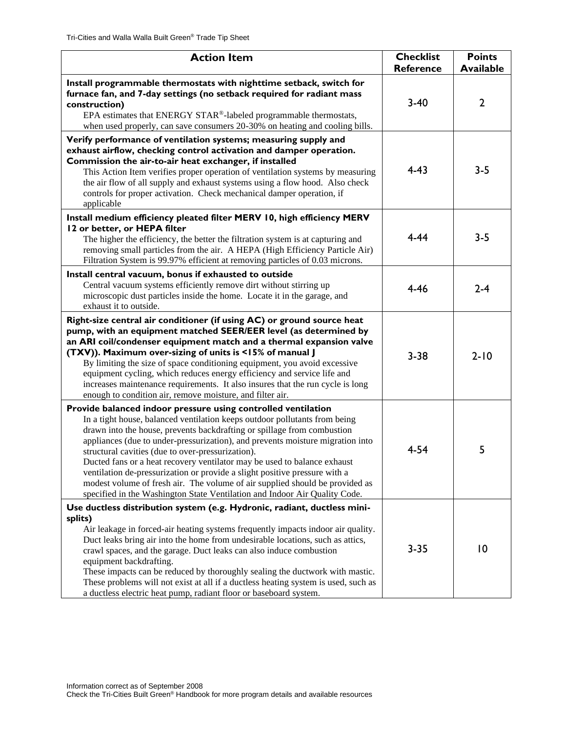| <b>Action Item</b>                                                                                                                                                                                                                                                                                                                                                                                                                                                                                                                                                                                                                                                                    | <b>Checklist</b><br><b>Reference</b> | <b>Points</b><br><b>Available</b> |
|---------------------------------------------------------------------------------------------------------------------------------------------------------------------------------------------------------------------------------------------------------------------------------------------------------------------------------------------------------------------------------------------------------------------------------------------------------------------------------------------------------------------------------------------------------------------------------------------------------------------------------------------------------------------------------------|--------------------------------------|-----------------------------------|
| Install programmable thermostats with nighttime setback, switch for<br>furnace fan, and 7-day settings (no setback required for radiant mass<br>construction)<br>EPA estimates that ENERGY STAR®-labeled programmable thermostats,<br>when used properly, can save consumers 20-30% on heating and cooling bills.                                                                                                                                                                                                                                                                                                                                                                     | $3 - 40$                             | $\overline{2}$                    |
| Verify performance of ventilation systems; measuring supply and<br>exhaust airflow, checking control activation and damper operation.<br>Commission the air-to-air heat exchanger, if installed<br>This Action Item verifies proper operation of ventilation systems by measuring<br>the air flow of all supply and exhaust systems using a flow hood. Also check<br>controls for proper activation. Check mechanical damper operation, if<br>applicable                                                                                                                                                                                                                              | $4 - 43$                             | $3 - 5$                           |
| Install medium efficiency pleated filter MERV 10, high efficiency MERV<br>12 or better, or HEPA filter<br>The higher the efficiency, the better the filtration system is at capturing and<br>removing small particles from the air. A HEPA (High Efficiency Particle Air)<br>Filtration System is 99.97% efficient at removing particles of 0.03 microns.                                                                                                                                                                                                                                                                                                                             | $4 - 44$                             | $3 - 5$                           |
| Install central vacuum, bonus if exhausted to outside<br>Central vacuum systems efficiently remove dirt without stirring up<br>microscopic dust particles inside the home. Locate it in the garage, and<br>exhaust it to outside.                                                                                                                                                                                                                                                                                                                                                                                                                                                     | $4 - 46$                             | $2 - 4$                           |
| Right-size central air conditioner (if using AC) or ground source heat<br>pump, with an equipment matched SEER/EER level (as determined by<br>an ARI coil/condenser equipment match and a thermal expansion valve<br>(TXV)). Maximum over-sizing of units is <15% of manual J<br>By limiting the size of space conditioning equipment, you avoid excessive<br>equipment cycling, which reduces energy efficiency and service life and<br>increases maintenance requirements. It also insures that the run cycle is long<br>enough to condition air, remove moisture, and filter air.                                                                                                  | $3 - 38$                             | $2 - 10$                          |
| Provide balanced indoor pressure using controlled ventilation<br>In a tight house, balanced ventilation keeps outdoor pollutants from being<br>drawn into the house, prevents backdrafting or spillage from combustion<br>appliances (due to under-pressurization), and prevents moisture migration into<br>structural cavities (due to over-pressurization).<br>Ducted fans or a heat recovery ventilator may be used to balance exhaust<br>ventilation de-pressurization or provide a slight positive pressure with a<br>modest volume of fresh air. The volume of air supplied should be provided as<br>specified in the Washington State Ventilation and Indoor Air Quality Code. | $4 - 54$                             | 5                                 |
| Use ductless distribution system (e.g. Hydronic, radiant, ductless mini-<br>splits)<br>Air leakage in forced-air heating systems frequently impacts indoor air quality.<br>Duct leaks bring air into the home from undesirable locations, such as attics,<br>crawl spaces, and the garage. Duct leaks can also induce combustion<br>equipment backdrafting.<br>These impacts can be reduced by thoroughly sealing the ductwork with mastic.<br>These problems will not exist at all if a ductless heating system is used, such as<br>a ductless electric heat pump, radiant floor or baseboard system.                                                                                | $3 - 35$                             | $\overline{10}$                   |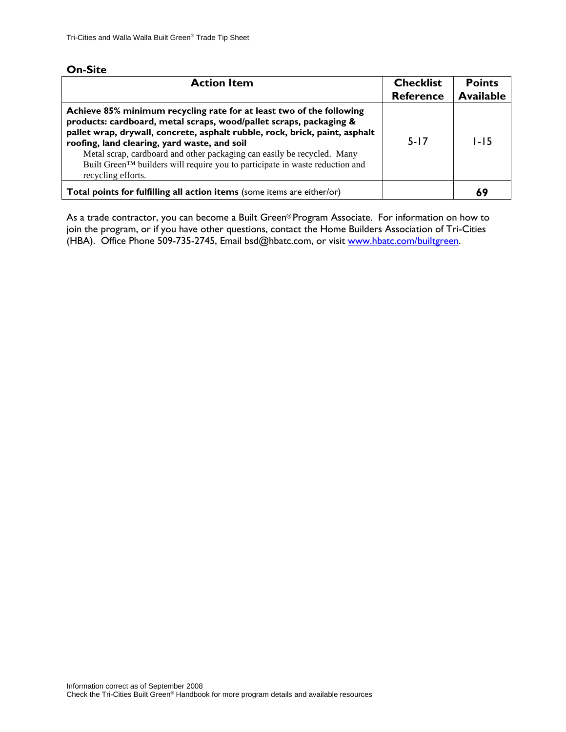| <b>Action Item</b>                                                                                                                                                                                                                                                                                                                                                                                                                                         | <b>Checklist</b><br><b>Reference</b> | <b>Points</b><br><b>Available</b> |
|------------------------------------------------------------------------------------------------------------------------------------------------------------------------------------------------------------------------------------------------------------------------------------------------------------------------------------------------------------------------------------------------------------------------------------------------------------|--------------------------------------|-----------------------------------|
| Achieve 85% minimum recycling rate for at least two of the following<br>products: cardboard, metal scraps, wood/pallet scraps, packaging &<br>pallet wrap, drywall, concrete, asphalt rubble, rock, brick, paint, asphalt<br>roofing, land clearing, yard waste, and soil<br>Metal scrap, cardboard and other packaging can easily be recycled. Many<br>Built Green™ builders will require you to participate in waste reduction and<br>recycling efforts. | $5 - 17$                             | $1-15$                            |
| Total points for fulfilling all action items (some items are either/or)                                                                                                                                                                                                                                                                                                                                                                                    |                                      |                                   |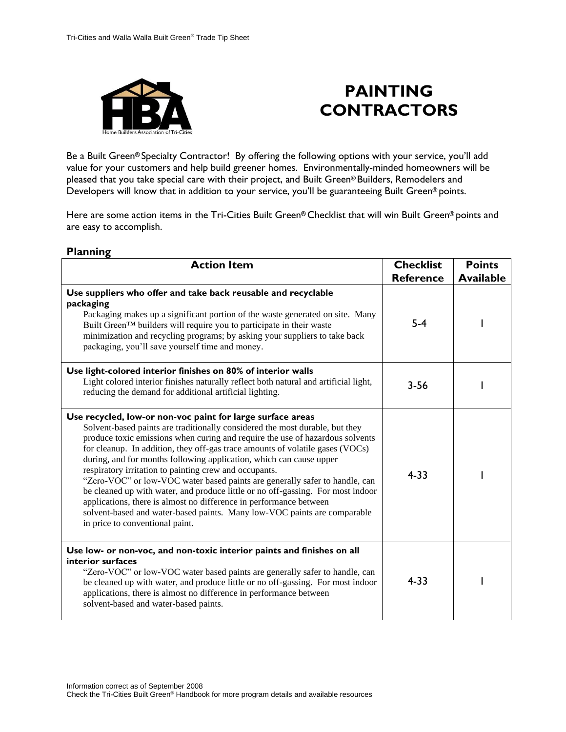

### **PAINTING CONTRACTORS**

Be a Built Green® Specialty Contractor! By offering the following options with your service, you'll add value for your customers and help build greener homes. Environmentally-minded homeowners will be pleased that you take special care with their project, and Built Green® Builders, Remodelers and Developers will know that in addition to your service, you'll be guaranteeing Built Green® points.

Here are some action items in the Tri-Cities Built Green® Checklist that will win Built Green® points and are easy to accomplish.

| <b>Action Item</b>                                                                                                                                                                                                                                                                                                                                                                                                                                                                                                                                                                                                                                                                                                                                                                                   | <b>Checklist</b><br><b>Reference</b> | <b>Points</b><br><b>Available</b> |
|------------------------------------------------------------------------------------------------------------------------------------------------------------------------------------------------------------------------------------------------------------------------------------------------------------------------------------------------------------------------------------------------------------------------------------------------------------------------------------------------------------------------------------------------------------------------------------------------------------------------------------------------------------------------------------------------------------------------------------------------------------------------------------------------------|--------------------------------------|-----------------------------------|
| Use suppliers who offer and take back reusable and recyclable<br>packaging<br>Packaging makes up a significant portion of the waste generated on site. Many<br>Built Green™ builders will require you to participate in their waste<br>minimization and recycling programs; by asking your suppliers to take back<br>packaging, you'll save yourself time and money.                                                                                                                                                                                                                                                                                                                                                                                                                                 | $5 - 4$                              |                                   |
| Use light-colored interior finishes on 80% of interior walls<br>Light colored interior finishes naturally reflect both natural and artificial light,<br>reducing the demand for additional artificial lighting.                                                                                                                                                                                                                                                                                                                                                                                                                                                                                                                                                                                      | $3 - 56$                             |                                   |
| Use recycled, low-or non-voc paint for large surface areas<br>Solvent-based paints are traditionally considered the most durable, but they<br>produce toxic emissions when curing and require the use of hazardous solvents<br>for cleanup. In addition, they off-gas trace amounts of volatile gases (VOCs)<br>during, and for months following application, which can cause upper<br>respiratory irritation to painting crew and occupants.<br>"Zero-VOC" or low-VOC water based paints are generally safer to handle, can<br>be cleaned up with water, and produce little or no off-gassing. For most indoor<br>applications, there is almost no difference in performance between<br>solvent-based and water-based paints. Many low-VOC paints are comparable<br>in price to conventional paint. | $4 - 33$                             |                                   |
| Use low- or non-voc, and non-toxic interior paints and finishes on all<br>interior surfaces<br>"Zero-VOC" or low-VOC water based paints are generally safer to handle, can<br>be cleaned up with water, and produce little or no off-gassing. For most indoor<br>applications, there is almost no difference in performance between<br>solvent-based and water-based paints.                                                                                                                                                                                                                                                                                                                                                                                                                         | $4 - 33$                             |                                   |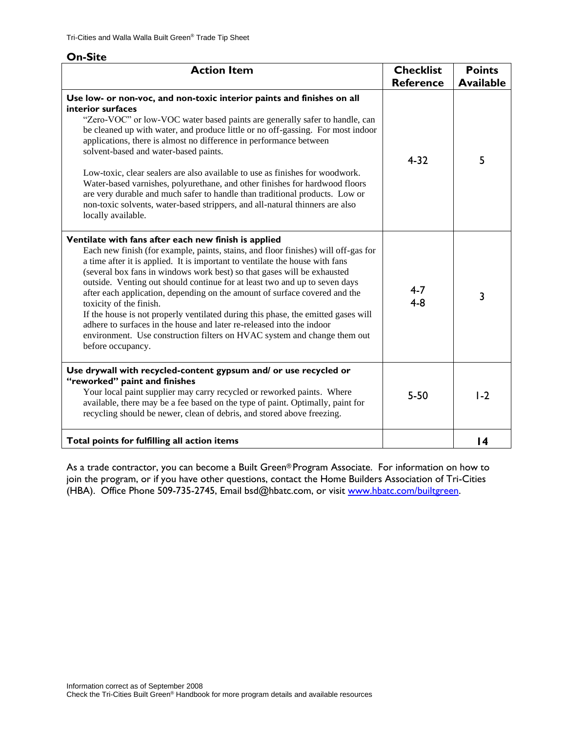| <b>Action Item</b>                                                                                                                                                                                                                                                                                                                                                                                                                                                                                                                                                                                                                                                                                                                                          | <b>Checklist</b><br><b>Reference</b> | <b>Points</b><br><b>Available</b> |
|-------------------------------------------------------------------------------------------------------------------------------------------------------------------------------------------------------------------------------------------------------------------------------------------------------------------------------------------------------------------------------------------------------------------------------------------------------------------------------------------------------------------------------------------------------------------------------------------------------------------------------------------------------------------------------------------------------------------------------------------------------------|--------------------------------------|-----------------------------------|
| Use low- or non-voc, and non-toxic interior paints and finishes on all<br>interior surfaces<br>"Zero-VOC" or low-VOC water based paints are generally safer to handle, can<br>be cleaned up with water, and produce little or no off-gassing. For most indoor<br>applications, there is almost no difference in performance between<br>solvent-based and water-based paints.<br>Low-toxic, clear sealers are also available to use as finishes for woodwork.<br>Water-based varnishes, polyurethane, and other finishes for hardwood floors<br>are very durable and much safer to handle than traditional products. Low or<br>non-toxic solvents, water-based strippers, and all-natural thinners are also<br>locally available.                            | $4 - 32$                             | 5                                 |
| Ventilate with fans after each new finish is applied<br>Each new finish (for example, paints, stains, and floor finishes) will off-gas for<br>a time after it is applied. It is important to ventilate the house with fans<br>(several box fans in windows work best) so that gases will be exhausted<br>outside. Venting out should continue for at least two and up to seven days<br>after each application, depending on the amount of surface covered and the<br>toxicity of the finish.<br>If the house is not properly ventilated during this phase, the emitted gases will<br>adhere to surfaces in the house and later re-released into the indoor<br>environment. Use construction filters on HVAC system and change them out<br>before occupancy. | $4 - 7$<br>$4 - 8$                   | 3                                 |
| Use drywall with recycled-content gypsum and/ or use recycled or<br>"reworked" paint and finishes<br>Your local paint supplier may carry recycled or reworked paints. Where<br>available, there may be a fee based on the type of paint. Optimally, paint for<br>recycling should be newer, clean of debris, and stored above freezing.                                                                                                                                                                                                                                                                                                                                                                                                                     | $5 - 50$                             | $1-2$                             |
| Total points for fulfilling all action items                                                                                                                                                                                                                                                                                                                                                                                                                                                                                                                                                                                                                                                                                                                |                                      | $\overline{14}$                   |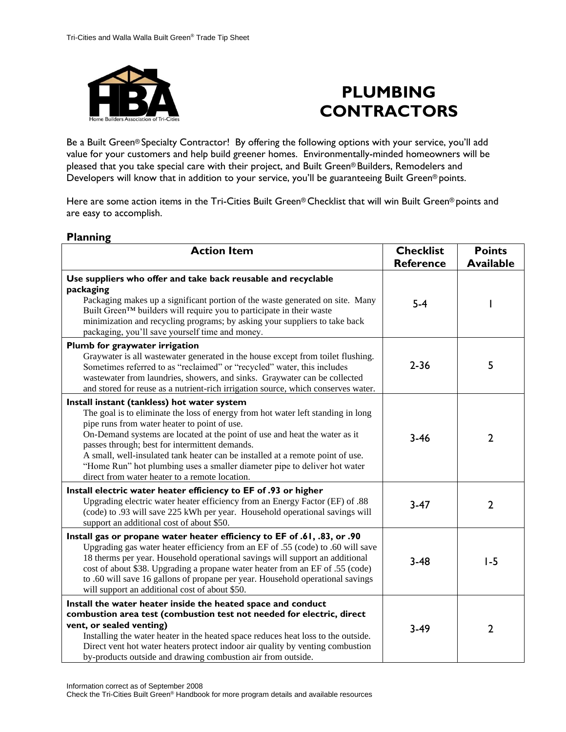

# **PLUMBING CONTRACTORS**

Be a Built Green® Specialty Contractor! By offering the following options with your service, you'll add value for your customers and help build greener homes. Environmentally-minded homeowners will be pleased that you take special care with their project, and Built Green® Builders, Remodelers and Developers will know that in addition to your service, you'll be guaranteeing Built Green® points.

Here are some action items in the Tri-Cities Built Green® Checklist that will win Built Green® points and are easy to accomplish.

| <b>Planning</b>                                                                                                                                                                                                                                                                                                                                                                                                                                                                                                                  |                                      |                                   |
|----------------------------------------------------------------------------------------------------------------------------------------------------------------------------------------------------------------------------------------------------------------------------------------------------------------------------------------------------------------------------------------------------------------------------------------------------------------------------------------------------------------------------------|--------------------------------------|-----------------------------------|
| <b>Action Item</b>                                                                                                                                                                                                                                                                                                                                                                                                                                                                                                               | <b>Checklist</b><br><b>Reference</b> | <b>Points</b><br><b>Available</b> |
| Use suppliers who offer and take back reusable and recyclable<br>packaging<br>Packaging makes up a significant portion of the waste generated on site. Many<br>Built Green™ builders will require you to participate in their waste<br>minimization and recycling programs; by asking your suppliers to take back<br>packaging, you'll save yourself time and money.                                                                                                                                                             | $5-4$                                |                                   |
| Plumb for graywater irrigation<br>Graywater is all wastewater generated in the house except from toilet flushing.<br>Sometimes referred to as "reclaimed" or "recycled" water, this includes<br>wastewater from laundries, showers, and sinks. Graywater can be collected<br>and stored for reuse as a nutrient-rich irrigation source, which conserves water.                                                                                                                                                                   | $2 - 36$                             | 5                                 |
| Install instant (tankless) hot water system<br>The goal is to eliminate the loss of energy from hot water left standing in long<br>pipe runs from water heater to point of use.<br>On-Demand systems are located at the point of use and heat the water as it<br>passes through; best for intermittent demands.<br>A small, well-insulated tank heater can be installed at a remote point of use.<br>"Home Run" hot plumbing uses a smaller diameter pipe to deliver hot water<br>direct from water heater to a remote location. | $3 - 46$                             | $\overline{2}$                    |
| Install electric water heater efficiency to EF of .93 or higher<br>Upgrading electric water heater efficiency from an Energy Factor (EF) of .88<br>(code) to .93 will save 225 kWh per year. Household operational savings will<br>support an additional cost of about \$50.                                                                                                                                                                                                                                                     | $3-47$                               | $\overline{2}$                    |
| Install gas or propane water heater efficiency to EF of .61, .83, or .90<br>Upgrading gas water heater efficiency from an EF of .55 (code) to .60 will save<br>18 therms per year. Household operational savings will support an additional<br>cost of about \$38. Upgrading a propane water heater from an EF of .55 (code)<br>to .60 will save 16 gallons of propane per year. Household operational savings<br>will support an additional cost of about \$50.                                                                 | $3 - 48$                             | $1-5$                             |
| Install the water heater inside the heated space and conduct<br>combustion area test (combustion test not needed for electric, direct<br>vent, or sealed venting)<br>Installing the water heater in the heated space reduces heat loss to the outside.<br>Direct vent hot water heaters protect indoor air quality by venting combustion<br>by-products outside and drawing combustion air from outside.                                                                                                                         | $3-49$                               | $\overline{2}$                    |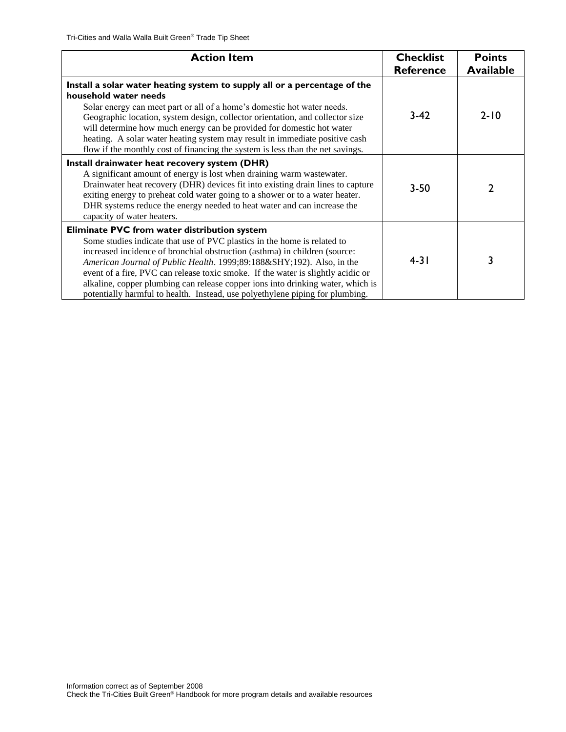| <b>Action Item</b>                                                                                                                                                                                                                                                                                                                                                                                                                                                                                                                  | <b>Checklist</b><br><b>Reference</b> | <b>Points</b><br><b>Available</b> |
|-------------------------------------------------------------------------------------------------------------------------------------------------------------------------------------------------------------------------------------------------------------------------------------------------------------------------------------------------------------------------------------------------------------------------------------------------------------------------------------------------------------------------------------|--------------------------------------|-----------------------------------|
| Install a solar water heating system to supply all or a percentage of the<br>household water needs<br>Solar energy can meet part or all of a home's domestic hot water needs.<br>Geographic location, system design, collector orientation, and collector size<br>will determine how much energy can be provided for domestic hot water<br>heating. A solar water heating system may result in immediate positive cash<br>flow if the monthly cost of financing the system is less than the net savings.                            | $3-42$                               | $2 - 10$                          |
| Install drainwater heat recovery system (DHR)<br>A significant amount of energy is lost when draining warm wastewater.<br>Drainwater heat recovery (DHR) devices fit into existing drain lines to capture<br>exiting energy to preheat cold water going to a shower or to a water heater.<br>DHR systems reduce the energy needed to heat water and can increase the<br>capacity of water heaters.                                                                                                                                  | $3 - 50$                             |                                   |
| Eliminate PVC from water distribution system<br>Some studies indicate that use of PVC plastics in the home is related to<br>increased incidence of bronchial obstruction (asthma) in children (source:<br>American Journal of Public Health. 1999;89:188­192). Also, in the<br>event of a fire, PVC can release toxic smoke. If the water is slightly acidic or<br>alkaline, copper plumbing can release copper ions into drinking water, which is<br>potentially harmful to health. Instead, use polyethylene piping for plumbing. | $4 - 31$                             | 3                                 |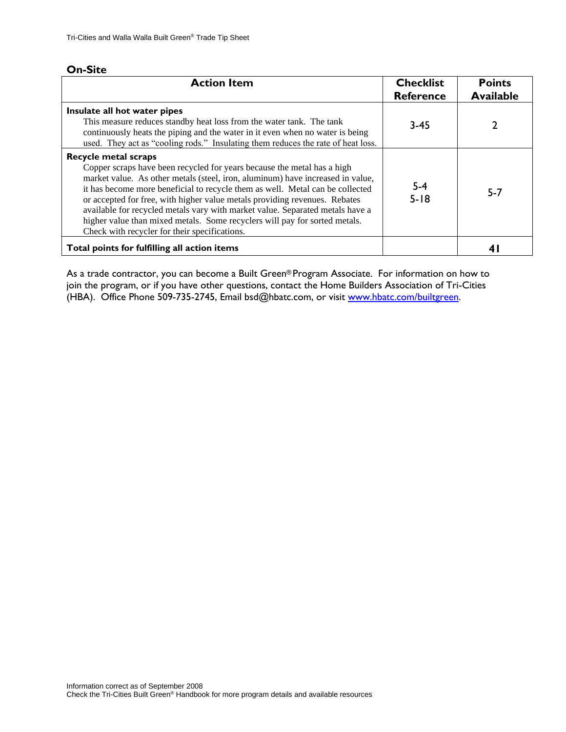| <b>Action Item</b>                                                                                                                                                                                                                                                                                                                                                                                                                                                                                                                                                      | <b>Checklist</b><br><b>Reference</b> | <b>Points</b><br><b>Available</b> |
|-------------------------------------------------------------------------------------------------------------------------------------------------------------------------------------------------------------------------------------------------------------------------------------------------------------------------------------------------------------------------------------------------------------------------------------------------------------------------------------------------------------------------------------------------------------------------|--------------------------------------|-----------------------------------|
| Insulate all hot water pipes<br>This measure reduces standby heat loss from the water tank. The tank<br>continuously heats the piping and the water in it even when no water is being<br>used. They act as "cooling rods." Insulating them reduces the rate of heat loss.                                                                                                                                                                                                                                                                                               | $3 - 45$                             |                                   |
| <b>Recycle metal scraps</b><br>Copper scraps have been recycled for years because the metal has a high<br>market value. As other metals (steel, iron, aluminum) have increased in value,<br>it has become more beneficial to recycle them as well. Metal can be collected<br>or accepted for free, with higher value metals providing revenues. Rebates<br>available for recycled metals vary with market value. Separated metals have a<br>higher value than mixed metals. Some recyclers will pay for sorted metals.<br>Check with recycler for their specifications. | $5 - 4$<br>$5 - 18$                  | $5 - 7$                           |
| Total points for fulfilling all action items                                                                                                                                                                                                                                                                                                                                                                                                                                                                                                                            |                                      |                                   |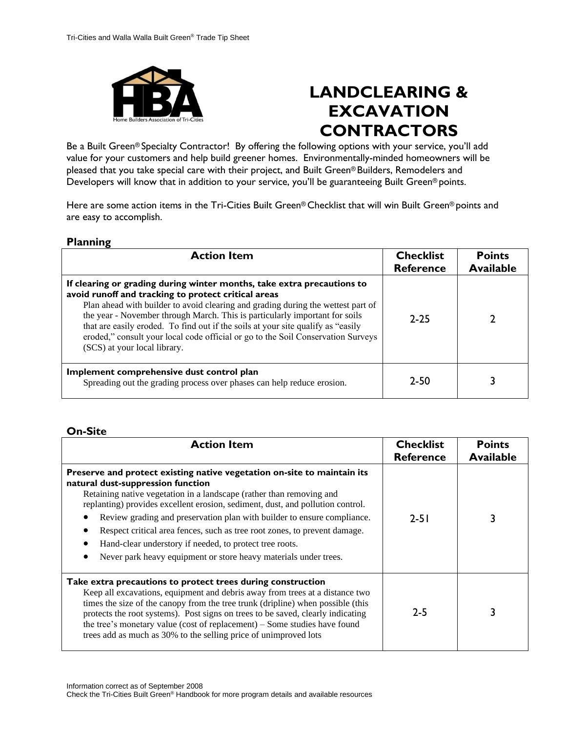

# **LANDCLEARING & EXCAVATION CONTRACTORS**

Be a Built Green® Specialty Contractor! By offering the following options with your service, you'll add value for your customers and help build greener homes. Environmentally-minded homeowners will be pleased that you take special care with their project, and Built Green® Builders, Remodelers and Developers will know that in addition to your service, you'll be guaranteeing Built Green® points.

Here are some action items in the Tri-Cities Built Green® Checklist that will win Built Green® points and are easy to accomplish.

#### **Planning**

| <b>Action Item</b>                                                                                                                                                                                                                                                                                                                                                                                                                                                                                        | <b>Checklist</b><br><b>Reference</b> | <b>Points</b><br><b>Available</b> |
|-----------------------------------------------------------------------------------------------------------------------------------------------------------------------------------------------------------------------------------------------------------------------------------------------------------------------------------------------------------------------------------------------------------------------------------------------------------------------------------------------------------|--------------------------------------|-----------------------------------|
| If clearing or grading during winter months, take extra precautions to<br>avoid runoff and tracking to protect critical areas<br>Plan ahead with builder to avoid clearing and grading during the wettest part of<br>the year - November through March. This is particularly important for soils<br>that are easily eroded. To find out if the soils at your site qualify as "easily"<br>eroded," consult your local code official or go to the Soil Conservation Surveys<br>(SCS) at your local library. | $2 - 25$                             |                                   |
| Implement comprehensive dust control plan<br>Spreading out the grading process over phases can help reduce erosion.                                                                                                                                                                                                                                                                                                                                                                                       | $7 - 50$                             |                                   |

#### **On-Site**

| <b>Action Item</b>                                                                                                                                                                                                                                                                                                                                                                                                                                                                                                                                            | <b>Checklist</b><br><b>Reference</b> | <b>Points</b><br><b>Available</b> |
|---------------------------------------------------------------------------------------------------------------------------------------------------------------------------------------------------------------------------------------------------------------------------------------------------------------------------------------------------------------------------------------------------------------------------------------------------------------------------------------------------------------------------------------------------------------|--------------------------------------|-----------------------------------|
| Preserve and protect existing native vegetation on-site to maintain its<br>natural dust-suppression function<br>Retaining native vegetation in a landscape (rather than removing and<br>replanting) provides excellent erosion, sediment, dust, and pollution control.<br>Review grading and preservation plan with builder to ensure compliance.<br>Respect critical area fences, such as tree root zones, to prevent damage.<br>Hand-clear understory if needed, to protect tree roots.<br>Never park heavy equipment or store heavy materials under trees. | $2 - 51$                             |                                   |
| Take extra precautions to protect trees during construction<br>Keep all excavations, equipment and debris away from trees at a distance two<br>times the size of the canopy from the tree trunk (dripline) when possible (this<br>protects the root systems). Post signs on trees to be saved, clearly indicating<br>the tree's monetary value (cost of replacement) – Some studies have found<br>trees add as much as 30% to the selling price of unimproved lots                                                                                            | $2 - 5$                              |                                   |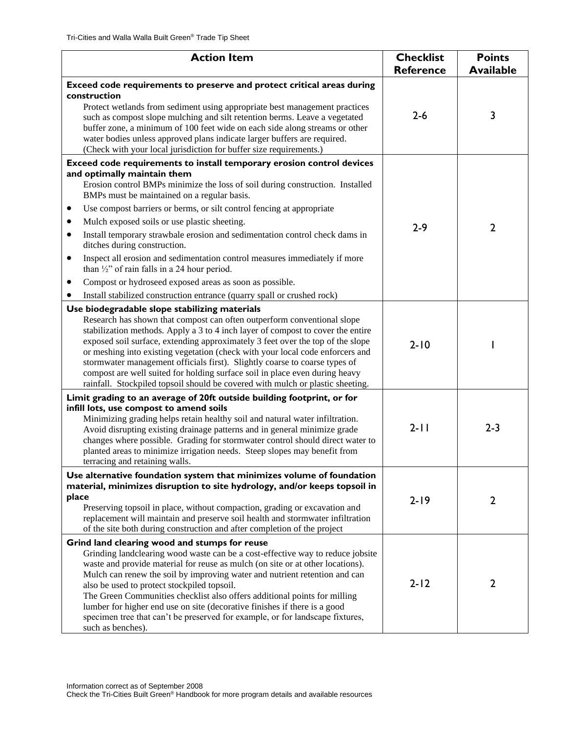| <b>Action Item</b>                                                                                                                                                                                                                                                                                                                                                                                                                                                                                                                                                                                                            | <b>Checklist</b><br><b>Reference</b> | <b>Points</b><br><b>Available</b> |
|-------------------------------------------------------------------------------------------------------------------------------------------------------------------------------------------------------------------------------------------------------------------------------------------------------------------------------------------------------------------------------------------------------------------------------------------------------------------------------------------------------------------------------------------------------------------------------------------------------------------------------|--------------------------------------|-----------------------------------|
| Exceed code requirements to preserve and protect critical areas during                                                                                                                                                                                                                                                                                                                                                                                                                                                                                                                                                        |                                      |                                   |
| construction<br>Protect wetlands from sediment using appropriate best management practices<br>such as compost slope mulching and silt retention berms. Leave a vegetated<br>buffer zone, a minimum of 100 feet wide on each side along streams or other<br>water bodies unless approved plans indicate larger buffers are required.<br>(Check with your local jurisdiction for buffer size requirements.)                                                                                                                                                                                                                     | $2 - 6$                              | 3                                 |
| Exceed code requirements to install temporary erosion control devices<br>and optimally maintain them<br>Erosion control BMPs minimize the loss of soil during construction. Installed                                                                                                                                                                                                                                                                                                                                                                                                                                         |                                      |                                   |
| BMPs must be maintained on a regular basis.                                                                                                                                                                                                                                                                                                                                                                                                                                                                                                                                                                                   |                                      |                                   |
| Use compost barriers or berms, or silt control fencing at appropriate                                                                                                                                                                                                                                                                                                                                                                                                                                                                                                                                                         |                                      |                                   |
| Mulch exposed soils or use plastic sheeting.<br>٠                                                                                                                                                                                                                                                                                                                                                                                                                                                                                                                                                                             | $2 - 9$                              | $\overline{2}$                    |
| Install temporary strawbale erosion and sedimentation control check dams in<br>٠<br>ditches during construction.                                                                                                                                                                                                                                                                                                                                                                                                                                                                                                              |                                      |                                   |
| Inspect all erosion and sedimentation control measures immediately if more<br>$\bullet$<br>than $\frac{1}{2}$ " of rain falls in a 24 hour period.                                                                                                                                                                                                                                                                                                                                                                                                                                                                            |                                      |                                   |
| Compost or hydroseed exposed areas as soon as possible.<br>٠                                                                                                                                                                                                                                                                                                                                                                                                                                                                                                                                                                  |                                      |                                   |
| Install stabilized construction entrance (quarry spall or crushed rock)<br>٠                                                                                                                                                                                                                                                                                                                                                                                                                                                                                                                                                  |                                      |                                   |
| Use biodegradable slope stabilizing materials<br>Research has shown that compost can often outperform conventional slope<br>stabilization methods. Apply a 3 to 4 inch layer of compost to cover the entire<br>exposed soil surface, extending approximately 3 feet over the top of the slope<br>or meshing into existing vegetation (check with your local code enforcers and<br>stormwater management officials first). Slightly coarse to coarse types of<br>compost are well suited for holding surface soil in place even during heavy<br>rainfall. Stockpiled topsoil should be covered with mulch or plastic sheeting. | $2 - 10$                             |                                   |
| Limit grading to an average of 20ft outside building footprint, or for<br>infill lots, use compost to amend soils<br>Minimizing grading helps retain healthy soil and natural water infiltration.<br>Avoid disrupting existing drainage patterns and in general minimize grade<br>changes where possible. Grading for stormwater control should direct water to<br>planted areas to minimize irrigation needs. Steep slopes may benefit from<br>terracing and retaining walls.                                                                                                                                                | $2 - 11$                             | $2 - 3$                           |
| Use alternative foundation system that minimizes volume of foundation                                                                                                                                                                                                                                                                                                                                                                                                                                                                                                                                                         |                                      |                                   |
| material, minimizes disruption to site hydrology, and/or keeps topsoil in<br>place<br>Preserving topsoil in place, without compaction, grading or excavation and<br>replacement will maintain and preserve soil health and stormwater infiltration<br>of the site both during construction and after completion of the project                                                                                                                                                                                                                                                                                                | $2 - 19$                             | $\overline{2}$                    |
| Grind land clearing wood and stumps for reuse<br>Grinding landclearing wood waste can be a cost-effective way to reduce jobsite<br>waste and provide material for reuse as mulch (on site or at other locations).<br>Mulch can renew the soil by improving water and nutrient retention and can<br>also be used to protect stockpiled topsoil.<br>The Green Communities checklist also offers additional points for milling<br>lumber for higher end use on site (decorative finishes if there is a good<br>specimen tree that can't be preserved for example, or for landscape fixtures,<br>such as benches).                | $2 - 12$                             | $\overline{2}$                    |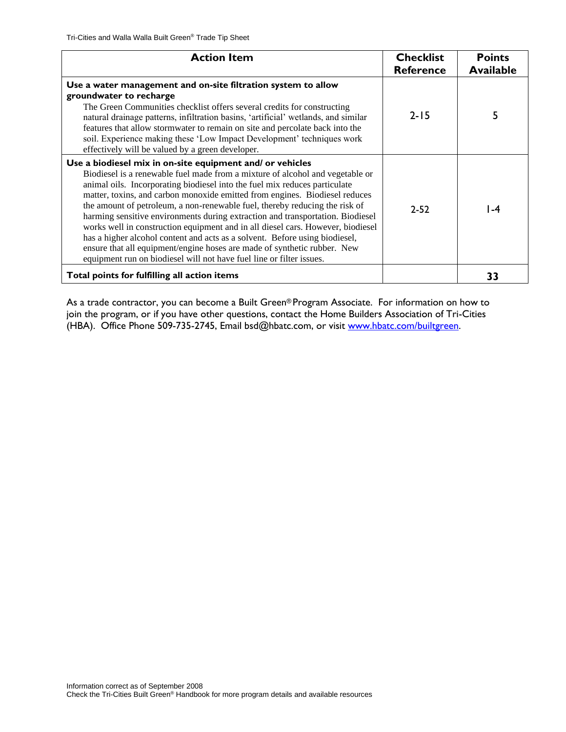| <b>Action Item</b>                                                                                                                                                                                                                                                                                                                                                                                                                                                                                                                                                                                                                                                                                                                                                                             | <b>Checklist</b><br><b>Reference</b> | <b>Points</b><br><b>Available</b> |
|------------------------------------------------------------------------------------------------------------------------------------------------------------------------------------------------------------------------------------------------------------------------------------------------------------------------------------------------------------------------------------------------------------------------------------------------------------------------------------------------------------------------------------------------------------------------------------------------------------------------------------------------------------------------------------------------------------------------------------------------------------------------------------------------|--------------------------------------|-----------------------------------|
| Use a water management and on-site filtration system to allow<br>groundwater to recharge<br>The Green Communities checklist offers several credits for constructing<br>natural drainage patterns, infiltration basins, 'artificial' wetlands, and similar<br>features that allow stormwater to remain on site and percolate back into the<br>soil. Experience making these 'Low Impact Development' techniques work<br>effectively will be valued by a green developer.                                                                                                                                                                                                                                                                                                                        | $2 - 15$                             |                                   |
| Use a biodiesel mix in on-site equipment and/ or vehicles<br>Biodiesel is a renewable fuel made from a mixture of alcohol and vegetable or<br>animal oils. Incorporating biodiesel into the fuel mix reduces particulate<br>matter, toxins, and carbon monoxide emitted from engines. Biodiesel reduces<br>the amount of petroleum, a non-renewable fuel, thereby reducing the risk of<br>harming sensitive environments during extraction and transportation. Biodiesel<br>works well in construction equipment and in all diesel cars. However, biodiesel<br>has a higher alcohol content and acts as a solvent. Before using biodiesel,<br>ensure that all equipment/engine hoses are made of synthetic rubber. New<br>equipment run on biodiesel will not have fuel line or filter issues. | $7 - 57$                             | ∣ -4                              |
| Total points for fulfilling all action items                                                                                                                                                                                                                                                                                                                                                                                                                                                                                                                                                                                                                                                                                                                                                   |                                      | 33                                |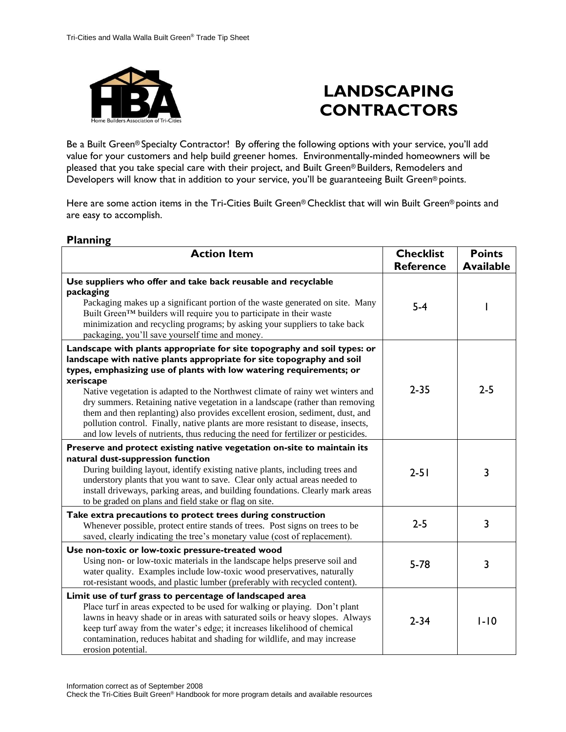

# **LANDSCAPING CONTRACTORS**

Be a Built Green® Specialty Contractor! By offering the following options with your service, you'll add value for your customers and help build greener homes. Environmentally-minded homeowners will be pleased that you take special care with their project, and Built Green® Builders, Remodelers and Developers will know that in addition to your service, you'll be guaranteeing Built Green® points.

Here are some action items in the Tri-Cities Built Green® Checklist that will win Built Green® points and are easy to accomplish.

| . .a<br><b>Action Item</b>                                                                                                                                                                                                                                                                                                                                                                                                                                                                                                                                                                                                                                           | <b>Checklist</b><br><b>Reference</b> | <b>Points</b><br><b>Available</b> |
|----------------------------------------------------------------------------------------------------------------------------------------------------------------------------------------------------------------------------------------------------------------------------------------------------------------------------------------------------------------------------------------------------------------------------------------------------------------------------------------------------------------------------------------------------------------------------------------------------------------------------------------------------------------------|--------------------------------------|-----------------------------------|
| Use suppliers who offer and take back reusable and recyclable<br>packaging<br>Packaging makes up a significant portion of the waste generated on site. Many<br>Built Green™ builders will require you to participate in their waste<br>minimization and recycling programs; by asking your suppliers to take back<br>packaging, you'll save yourself time and money.                                                                                                                                                                                                                                                                                                 | $5-4$                                |                                   |
| Landscape with plants appropriate for site topography and soil types: or<br>landscape with native plants appropriate for site topography and soil<br>types, emphasizing use of plants with low watering requirements; or<br>xeriscape<br>Native vegetation is adapted to the Northwest climate of rainy wet winters and<br>dry summers. Retaining native vegetation in a landscape (rather than removing<br>them and then replanting) also provides excellent erosion, sediment, dust, and<br>pollution control. Finally, native plants are more resistant to disease, insects,<br>and low levels of nutrients, thus reducing the need for fertilizer or pesticides. | $2 - 35$                             | $2 - 5$                           |
| Preserve and protect existing native vegetation on-site to maintain its<br>natural dust-suppression function<br>During building layout, identify existing native plants, including trees and<br>understory plants that you want to save. Clear only actual areas needed to<br>install driveways, parking areas, and building foundations. Clearly mark areas<br>to be graded on plans and field stake or flag on site.                                                                                                                                                                                                                                               | $2 - 51$                             | 3                                 |
| Take extra precautions to protect trees during construction<br>Whenever possible, protect entire stands of trees. Post signs on trees to be<br>saved, clearly indicating the tree's monetary value (cost of replacement).                                                                                                                                                                                                                                                                                                                                                                                                                                            | $2 - 5$                              | 3                                 |
| Use non-toxic or low-toxic pressure-treated wood<br>Using non- or low-toxic materials in the landscape helps preserve soil and<br>water quality. Examples include low-toxic wood preservatives, naturally<br>rot-resistant woods, and plastic lumber (preferably with recycled content).                                                                                                                                                                                                                                                                                                                                                                             | $5 - 78$                             | 3                                 |
| Limit use of turf grass to percentage of landscaped area<br>Place turf in areas expected to be used for walking or playing. Don't plant<br>lawns in heavy shade or in areas with saturated soils or heavy slopes. Always<br>keep turf away from the water's edge; it increases likelihood of chemical<br>contamination, reduces habitat and shading for wildlife, and may increase<br>erosion potential.                                                                                                                                                                                                                                                             | $2 - 34$                             | $1 - 10$                          |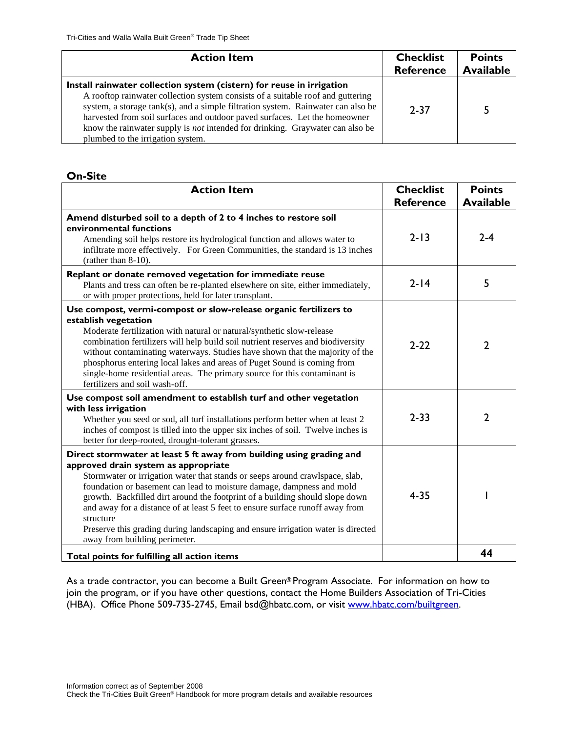| <b>Action Item</b>                                                                                                                                                                                                                                                                                                                                                                                                                                      | <b>Checklist</b><br><b>Reference</b> | <b>Points</b><br><b>Available</b> |
|---------------------------------------------------------------------------------------------------------------------------------------------------------------------------------------------------------------------------------------------------------------------------------------------------------------------------------------------------------------------------------------------------------------------------------------------------------|--------------------------------------|-----------------------------------|
| Install rainwater collection system (cistern) for reuse in irrigation<br>A rooftop rainwater collection system consists of a suitable roof and guttering<br>system, a storage tank(s), and a simple filtration system. Rainwater can also be<br>harvested from soil surfaces and outdoor paved surfaces. Let the homeowner<br>know the rainwater supply is <i>not</i> intended for drinking. Graywater can also be<br>plumbed to the irrigation system. | $2 - 37$                             | 5                                 |

| <b>Action Item</b>                                                                                                                                                                                                                                                                                                                                                                                                                                                                                                                                                       | <b>Checklist</b> | <b>Points</b>    |
|--------------------------------------------------------------------------------------------------------------------------------------------------------------------------------------------------------------------------------------------------------------------------------------------------------------------------------------------------------------------------------------------------------------------------------------------------------------------------------------------------------------------------------------------------------------------------|------------------|------------------|
|                                                                                                                                                                                                                                                                                                                                                                                                                                                                                                                                                                          | <b>Reference</b> | <b>Available</b> |
| Amend disturbed soil to a depth of 2 to 4 inches to restore soil<br>environmental functions<br>Amending soil helps restore its hydrological function and allows water to<br>infiltrate more effectively. For Green Communities, the standard is 13 inches<br>(rather than 8-10).                                                                                                                                                                                                                                                                                         | $2 - 13$         | $2 - 4$          |
| Replant or donate removed vegetation for immediate reuse<br>Plants and tress can often be re-planted elsewhere on site, either immediately,<br>or with proper protections, held for later transplant.                                                                                                                                                                                                                                                                                                                                                                    | $2 - 14$         | 5                |
| Use compost, vermi-compost or slow-release organic fertilizers to<br>establish vegetation<br>Moderate fertilization with natural or natural/synthetic slow-release<br>combination fertilizers will help build soil nutrient reserves and biodiversity<br>without contaminating waterways. Studies have shown that the majority of the<br>phosphorus entering local lakes and areas of Puget Sound is coming from<br>single-home residential areas. The primary source for this contaminant is<br>fertilizers and soil wash-off.                                          | $2 - 22$         | $\overline{2}$   |
| Use compost soil amendment to establish turf and other vegetation<br>with less irrigation<br>Whether you seed or sod, all turf installations perform better when at least 2<br>inches of compost is tilled into the upper six inches of soil. Twelve inches is<br>better for deep-rooted, drought-tolerant grasses.                                                                                                                                                                                                                                                      | $2 - 33$         | $\overline{2}$   |
| Direct stormwater at least 5 ft away from building using grading and<br>approved drain system as appropriate<br>Stormwater or irrigation water that stands or seeps around crawlspace, slab,<br>foundation or basement can lead to moisture damage, dampness and mold<br>growth. Backfilled dirt around the footprint of a building should slope down<br>and away for a distance of at least 5 feet to ensure surface runoff away from<br>structure<br>Preserve this grading during landscaping and ensure irrigation water is directed<br>away from building perimeter. | $4 - 35$         |                  |
| Total points for fulfilling all action items                                                                                                                                                                                                                                                                                                                                                                                                                                                                                                                             |                  | 44               |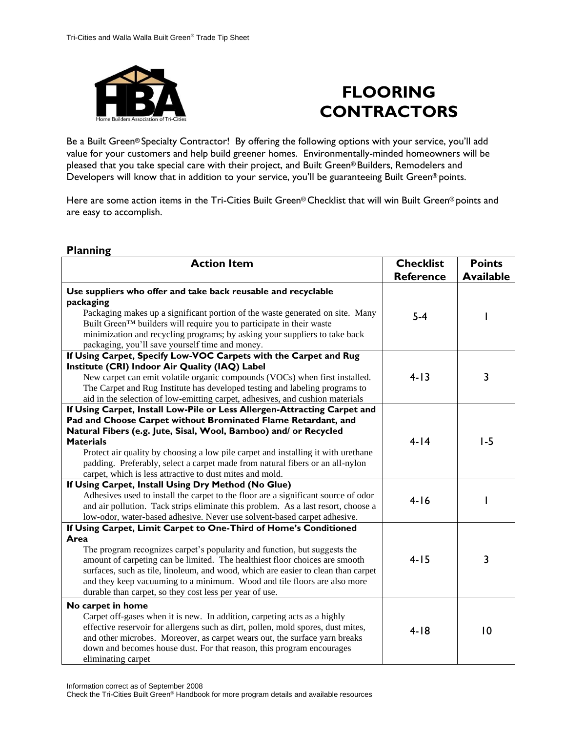

# **FLOORING CONTRACTORS**

Be a Built Green® Specialty Contractor! By offering the following options with your service, you'll add value for your customers and help build greener homes. Environmentally-minded homeowners will be pleased that you take special care with their project, and Built Green® Builders, Remodelers and Developers will know that in addition to your service, you'll be guaranteeing Built Green® points.

Here are some action items in the Tri-Cities Built Green® Checklist that will win Built Green® points and are easy to accomplish.

| <b>Action Item</b>                                                                                                                                                                                                                                                                                                                                                                                                                                                  | <b>Checklist</b><br><b>Reference</b> | <b>Points</b><br><b>Available</b> |
|---------------------------------------------------------------------------------------------------------------------------------------------------------------------------------------------------------------------------------------------------------------------------------------------------------------------------------------------------------------------------------------------------------------------------------------------------------------------|--------------------------------------|-----------------------------------|
| Use suppliers who offer and take back reusable and recyclable<br>packaging<br>Packaging makes up a significant portion of the waste generated on site. Many<br>Built Green™ builders will require you to participate in their waste<br>minimization and recycling programs; by asking your suppliers to take back<br>packaging, you'll save yourself time and money.                                                                                                | $5-4$                                |                                   |
| If Using Carpet, Specify Low-VOC Carpets with the Carpet and Rug<br>Institute (CRI) Indoor Air Quality (IAQ) Label<br>New carpet can emit volatile organic compounds (VOCs) when first installed.<br>The Carpet and Rug Institute has developed testing and labeling programs to<br>aid in the selection of low-emitting carpet, adhesives, and cushion materials                                                                                                   | $4 - 13$                             | 3                                 |
| If Using Carpet, Install Low-Pile or Less Allergen-Attracting Carpet and<br>Pad and Choose Carpet without Brominated Flame Retardant, and<br>Natural Fibers (e.g. Jute, Sisal, Wool, Bamboo) and/ or Recycled<br><b>Materials</b><br>Protect air quality by choosing a low pile carpet and installing it with urethane<br>padding. Preferably, select a carpet made from natural fibers or an all-nylon<br>carpet, which is less attractive to dust mites and mold. | $4 - 14$                             | $1-5$                             |
| If Using Carpet, Install Using Dry Method (No Glue)<br>Adhesives used to install the carpet to the floor are a significant source of odor<br>and air pollution. Tack strips eliminate this problem. As a last resort, choose a<br>low-odor, water-based adhesive. Never use solvent-based carpet adhesive.                                                                                                                                                          | $4 - 16$                             |                                   |
| If Using Carpet, Limit Carpet to One-Third of Home's Conditioned<br>Area<br>The program recognizes carpet's popularity and function, but suggests the<br>amount of carpeting can be limited. The healthiest floor choices are smooth<br>surfaces, such as tile, linoleum, and wood, which are easier to clean than carpet<br>and they keep vacuuming to a minimum. Wood and tile floors are also more<br>durable than carpet, so they cost less per year of use.    | $4 - 15$                             | 3                                 |
| No carpet in home<br>Carpet off-gases when it is new. In addition, carpeting acts as a highly<br>effective reservoir for allergens such as dirt, pollen, mold spores, dust mites,<br>and other microbes. Moreover, as carpet wears out, the surface yarn breaks<br>down and becomes house dust. For that reason, this program encourages<br>eliminating carpet                                                                                                      | $4 - 18$                             | 10                                |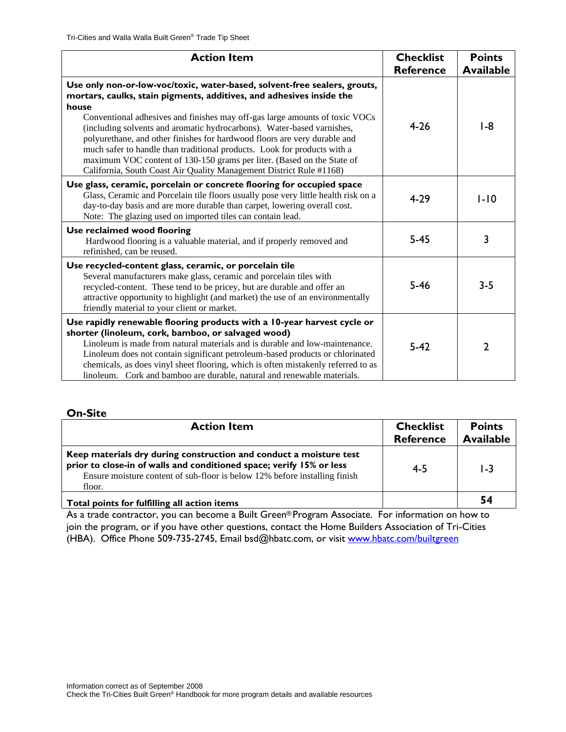| <b>Action Item</b>                                                                                                                                                                                                                                                                                                                                                                                                                                                                                                                                                                                                            | <b>Checklist</b><br><b>Reference</b> | <b>Points</b><br><b>Available</b> |
|-------------------------------------------------------------------------------------------------------------------------------------------------------------------------------------------------------------------------------------------------------------------------------------------------------------------------------------------------------------------------------------------------------------------------------------------------------------------------------------------------------------------------------------------------------------------------------------------------------------------------------|--------------------------------------|-----------------------------------|
| Use only non-or-low-voc/toxic, water-based, solvent-free sealers, grouts,<br>mortars, caulks, stain pigments, additives, and adhesives inside the<br>house<br>Conventional adhesives and finishes may off-gas large amounts of toxic VOCs<br>(including solvents and aromatic hydrocarbons). Water-based varnishes,<br>polyurethane, and other finishes for hardwood floors are very durable and<br>much safer to handle than traditional products. Look for products with a<br>maximum VOC content of 130-150 grams per liter. (Based on the State of<br>California, South Coast Air Quality Management District Rule #1168) | $4 - 26$                             | I -8                              |
| Use glass, ceramic, porcelain or concrete flooring for occupied space<br>Glass, Ceramic and Porcelain tile floors usually pose very little health risk on a<br>day-to-day basis and are more durable than carpet, lowering overall cost.<br>Note: The glazing used on imported tiles can contain lead.                                                                                                                                                                                                                                                                                                                        | $4 - 29$                             | $1-10$                            |
| Use reclaimed wood flooring<br>Hardwood flooring is a valuable material, and if properly removed and<br>refinished, can be reused.                                                                                                                                                                                                                                                                                                                                                                                                                                                                                            | $5 - 45$                             | 3                                 |
| Use recycled-content glass, ceramic, or porcelain tile<br>Several manufacturers make glass, ceramic and porcelain tiles with<br>recycled-content. These tend to be pricey, but are durable and offer an<br>attractive opportunity to highlight (and market) the use of an environmentally<br>friendly material to your client or market.                                                                                                                                                                                                                                                                                      | $5 - 46$                             | $3 - 5$                           |
| Use rapidly renewable flooring products with a 10-year harvest cycle or<br>shorter (linoleum, cork, bamboo, or salvaged wood)<br>Linoleum is made from natural materials and is durable and low-maintenance.<br>Linoleum does not contain significant petroleum-based products or chlorinated<br>chemicals, as does vinyl sheet flooring, which is often mistakenly referred to as<br>linoleum. Cork and bamboo are durable, natural and renewable materials.                                                                                                                                                                 | $5 - 42$                             | $\overline{2}$                    |

| <b>Action Item</b>                                                                                                                                                                                                                 | <b>Checklist</b><br><b>Reference</b> | <b>Points</b><br><b>Available</b> |
|------------------------------------------------------------------------------------------------------------------------------------------------------------------------------------------------------------------------------------|--------------------------------------|-----------------------------------|
| Keep materials dry during construction and conduct a moisture test<br>prior to close-in of walls and conditioned space; verify 15% or less<br>Ensure moisture content of sub-floor is below 12% before installing finish<br>floor. | $4 - 5$                              | I -3                              |
| Total points for fulfilling all action items                                                                                                                                                                                       |                                      | 54                                |